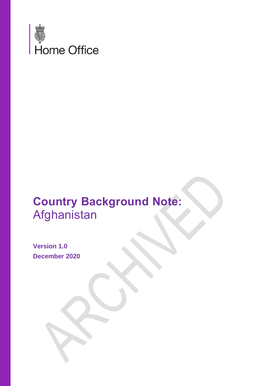

# **Country Background Note:** Afghanistan

**Version 1.0 December 2020**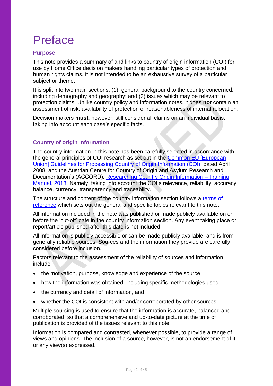# Preface

## **Purpose**

This note provides a summary of and links to country of origin information (COI) for use by Home Office decision makers handling particular types of protection and human rights claims. It is not intended to be an exhaustive survey of a particular subject or theme.

It is split into two main sections: (1) general background to the country concerned, including demography and geography; and (2) issues which may be relevant to protection claims. Unlike country policy and information notes, it does **not** contain an assessment of risk, availability of protection or reasonableness of internal relocation.

Decision makers **must**, however, still consider all claims on an individual basis, taking into account each case's specific facts.

## **Country of origin information**

The country information in this note has been carefully selected in accordance with the general principles of COI research as set out in the [Common EU \[European](http://www.refworld.org/docid/48493f7f2.html)  [Union\] Guidelines for Processing Country of Origin Information \(COI\),](http://www.refworld.org/docid/48493f7f2.html) dated April 2008, and the Austrian Centre for Country of Origin and Asylum Research and Documentation's (ACCORD), [Researching Country Origin Information –](https://www.coi-training.net/content/) Training [Manual, 2013.](https://www.coi-training.net/content/) Namely, taking into account the COI's relevance, reliability, accuracy, balance, currency, transparency and traceability.

The structure and content of the country information section follows a [terms of](#page-39-0)  [reference](#page-39-0) which sets out the general and specific topics relevant to this note.

All information included in the note was published or made publicly available on or before the 'cut-off' date in the country information section. Any event taking place or report/article published after this date is not included.

All information is publicly accessible or can be made publicly available, and is from generally reliable sources. Sources and the information they provide are carefully considered before inclusion.

Factors relevant to the assessment of the reliability of sources and information include:

- the motivation, purpose, knowledge and experience of the source
- how the information was obtained, including specific methodologies used
- the currency and detail of information, and
- whether the COI is consistent with and/or corroborated by other sources.

Multiple sourcing is used to ensure that the information is accurate, balanced and corroborated, so that a comprehensive and up-to-date picture at the time of publication is provided of the issues relevant to this note.

Information is compared and contrasted, whenever possible, to provide a range of views and opinions. The inclusion of a source, however, is not an endorsement of it or any view(s) expressed.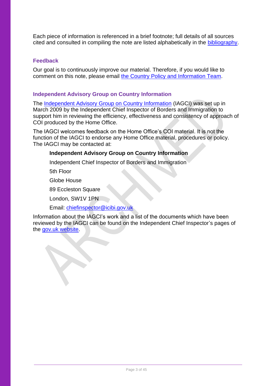Each piece of information is referenced in a brief footnote; full details of all sources cited and consulted in compiling the note are listed alphabetically in the [bibliography.](#page-39-0)

## **Feedback**

Our goal is to continuously improve our material. Therefore, if you would like to comment on this note, please email [the Country Policy and Information Team.](mailto:cipu@homeoffice.gsi.gov.uk)

## **Independent Advisory Group on Country Information**

The [Independent Advisory Group on Country Information](https://www.gov.uk/government/organisations/independent-chief-inspector-of-borders-and-immigration/about/research) (IAGCI) was set up in March 2009 by the Independent Chief Inspector of Borders and Immigration to support him in reviewing the efficiency, effectiveness and consistency of approach of COI produced by the Home Office.

The IAGCI welcomes feedback on the Home Office's COI material. It is not the function of the IAGCI to endorse any Home Office material, procedures or policy. The IAGCI may be contacted at:

## **Independent Advisory Group on Country Information**

Independent Chief Inspector of Borders and Immigration

5th Floor

Globe House

89 Eccleston Square

London, SW1V 1PN

Email: [chiefinspector@icibi.gov.uk](mailto:chiefinspector@icibi.gov.uk) 

Information about the IAGCI's work and a list of the documents which have been reviewed by the IAGCI can be found on the Independent Chief Inspector's pages of the [gov.uk website.](https://www.gov.uk/government/organisations/independent-chief-inspector-of-borders-and-immigration/about/research#reviews)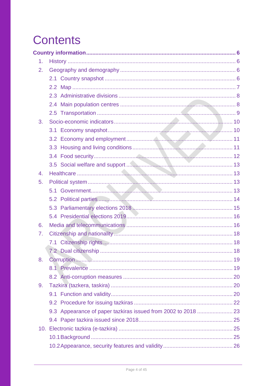# <span id="page-3-0"></span>**Contents**

| 1. |                                                               |  |
|----|---------------------------------------------------------------|--|
| 2. |                                                               |  |
|    |                                                               |  |
|    |                                                               |  |
|    |                                                               |  |
|    |                                                               |  |
|    |                                                               |  |
| 3. |                                                               |  |
|    |                                                               |  |
|    |                                                               |  |
|    |                                                               |  |
|    |                                                               |  |
|    |                                                               |  |
| 4. |                                                               |  |
| 5. |                                                               |  |
|    |                                                               |  |
|    |                                                               |  |
|    |                                                               |  |
|    |                                                               |  |
| 6. |                                                               |  |
| 7. |                                                               |  |
|    |                                                               |  |
|    |                                                               |  |
| 8. |                                                               |  |
|    |                                                               |  |
|    |                                                               |  |
| 9. |                                                               |  |
|    |                                                               |  |
|    |                                                               |  |
|    | 9.3 Appearance of paper tazkiras issued from 2002 to 2018  23 |  |
|    |                                                               |  |
|    |                                                               |  |
|    |                                                               |  |
|    |                                                               |  |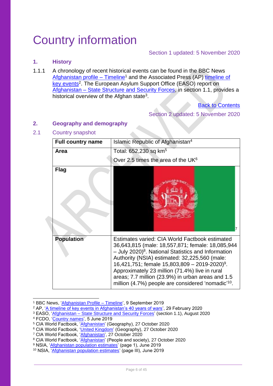# <span id="page-5-0"></span>Country information

## Section 1 updated: 5 November 2020

## <span id="page-5-1"></span>**1. History**

1.1.1 A chronology of recent historical events can be found in the BBC News [Afghanistan profile –](https://www.bbc.co.uk/news/world-south-asia-12024253) Timeline<sup>1</sup> and the Associated Press (AP) timeline of [key events](https://apnews.com/article/7011b5086a21f7f57c3cb218947742b2)<sup>2</sup>. The European Asylum Support Office (EASO) report on Afghanistan – [State Structure and Security Forces,](https://coi.easo.europa.eu/administration/easo/PLib/2020_08_EASO_COI_Report_Afghanistan_state_structure_and_security_forces.pdf) in section 1.1, provides a historical overview of the Afghan state<sup>3</sup>.

**[Back to Contents](#page-3-0)** 

Section 2 updated: 5 November 2020

## <span id="page-5-2"></span>**2. Geography and demography**

## <span id="page-5-3"></span>2.1 Country snapshot

| <b>Full country name</b> | Islamic Republic of Afghanistan <sup>4</sup>                                                                                                                                                                                                                                                                                                                                                                                                                      |
|--------------------------|-------------------------------------------------------------------------------------------------------------------------------------------------------------------------------------------------------------------------------------------------------------------------------------------------------------------------------------------------------------------------------------------------------------------------------------------------------------------|
| Area                     | Total: 652,230 sq km <sup>5</sup>                                                                                                                                                                                                                                                                                                                                                                                                                                 |
|                          | Over 2.5 times the area of the UK $6$                                                                                                                                                                                                                                                                                                                                                                                                                             |
| <b>Flag</b>              |                                                                                                                                                                                                                                                                                                                                                                                                                                                                   |
| <b>Population</b>        | Estimates varied: CIA World Factbook estimated<br>36,643,815 (male: 18,557,871; female: 18,085,944<br>$-$ July 2020) <sup>8</sup> . National Statistics and Information<br>Authority (NSIA) estimated: 32,225,560 (male:<br>16,421,751; female $15,803,809 - 2019 - 2020$ <sup>9</sup> .<br>Approximately 23 million (71.4%) live in rural<br>areas; 7.7 million (23.9%) in urban areas and 1.5<br>million (4.7%) people are considered 'nomadic' <sup>10</sup> . |

<sup>1</sup> BBC News, ['Afghanistan Profile –](https://www.bbc.co.uk/news/world-south-asia-12024253) Timeline', 9 September 2019

<sup>2</sup> AP, ['A timeline of key events in Afghanistan's 40 years of wars',](https://apnews.com/article/7011b5086a21f7f57c3cb218947742b2) 29 February 2020

<sup>3</sup> EASO, 'Afghanistan – [State Structure and Security Forces'](https://coi.easo.europa.eu/administration/easo/PLib/2020_08_EASO_COI_Report_Afghanistan_state_structure_and_security_forces.pdf) (section 1.1), August 2020

<sup>4</sup> FCDO, ['Country names',](https://assets.publishing.service.gov.uk/government/uploads/system/uploads/attachment_data/file/913694/FCDO_Geographical_Names_Index.csv/preview) 5 June 2019

<sup>&</sup>lt;sup>5</sup> CIA World Factbook, '<u>Afghanistan</u>' (Geography), 27 October 2020

<sup>&</sup>lt;sup>6</sup> CIA World Factbook, ['United Kingdom'](https://www.cia.gov/library/publications/the-world-factbook/geos/uk.html) (Geography), 27 October 2020

<sup>&</sup>lt;sup>7</sup> CIA World Factbook, '<u>Afghanistan</u>', 27 October 2020

<sup>&</sup>lt;sup>8</sup> CIA World Factbook, ['Afghanistan'](https://www.cia.gov/library/publications/the-world-factbook/geos/af.html) (People and society), 27 October 2020

<sup>9</sup> NSIA, ['Afghanistan population estimates'](https://web.archive.org/web/20200609174551/https:/www.nsia.gov.af:8080/wp-content/uploads/2019/06/%D8%A8%D8%B1-%D8%A2%D9%88%D8%B1%D8%AF-%D9%86%D9%81%D9%88%D8%B3-%D9%86%D9%87%D8%A7%DB%8C%DB%8C-%D8%B3%D8%A7%D9%84-98.pdf) (page 1), June 2019

<sup>10</sup> NSIA, ['Afghanistan population estimates'](https://web.archive.org/web/20200609174551/https:/www.nsia.gov.af:8080/wp-content/uploads/2019/06/%D8%A8%D8%B1-%D8%A2%D9%88%D8%B1%D8%AF-%D9%86%D9%81%D9%88%D8%B3-%D9%86%D9%87%D8%A7%DB%8C%DB%8C-%D8%B3%D8%A7%D9%84-98.pdf) (page III), June 2019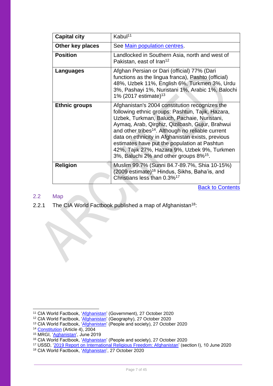| <b>Capital city</b>  | Kabul <sup>11</sup>                                                                                                                                                                                                                                                                                                                                                                                                                                                              |
|----------------------|----------------------------------------------------------------------------------------------------------------------------------------------------------------------------------------------------------------------------------------------------------------------------------------------------------------------------------------------------------------------------------------------------------------------------------------------------------------------------------|
| Other key places     | See Main population centres.                                                                                                                                                                                                                                                                                                                                                                                                                                                     |
| <b>Position</b>      | Landlocked in Southern Asia, north and west of<br>Pakistan, east of Iran <sup>12</sup>                                                                                                                                                                                                                                                                                                                                                                                           |
| Languages            | Afghan Persian or Dari (official) 77% (Dari<br>functions as the lingua franca), Pashto (official)<br>48%, Uzbek 11%, English 6%, Turkmen 3%, Urdu<br>3%, Pashayi 1%, Nuristani 1%, Arabic 1%, Balochi<br>1% (2017 estimate) <sup>13</sup>                                                                                                                                                                                                                                        |
| <b>Ethnic groups</b> | Afghanistan's 2004 constitution recognizes the<br>following ethnic groups: Pashtun, Tajik, Hazara,<br>Uzbek, Turkman, Baluch, Pachaie, Nuristani,<br>Aymaq, Arab, Qirghiz, Qizilbash, Gujur, Brahwui<br>and other tribes <sup>14</sup> . Although no reliable current<br>data on ethnicity in Afghanistan exists, previous<br>estimates have put the population at Pashtun<br>42%, Tajik 27%, Hazara 9%, Uzbek 9%, Turkmen<br>3%, Baluchi 2% and other groups 8% <sup>15</sup> . |
| <b>Religion</b>      | Muslim 99.7% (Sunni 84.7-89.7%, Shia 10-15%)<br>(2009 estimate) <sup>16</sup> Hindus, Sikhs, Baha'is, and<br>Christians less than 0.3% <sup>17</sup>                                                                                                                                                                                                                                                                                                                             |

**[Back to Contents](#page-3-0)** 

#### <span id="page-6-0"></span>2.2 Map

2.2.1 The CIA World Factbook published a map of Afghanistan<sup>18</sup>:

<sup>&</sup>lt;sup>11</sup> CIA World Factbook, '*Afghanistan'* (Government), 27 October 2020

<sup>&</sup>lt;sup>12</sup> CIA World Factbook, '*Afghanistan'* (Geography), 27 October 2020

<sup>&</sup>lt;sup>13</sup> CIA World Factbook, ['Afghanistan'](https://www.cia.gov/library/publications/the-world-factbook/geos/af.html) (People and society), 27 October 2020

<sup>&</sup>lt;sup>14</sup> [Constitution](https://www.constituteproject.org/constitution/Afghanistan_2004.pdf?lang=en) (Article 4), 2004

<sup>&</sup>lt;sup>15</sup> MRGI, '<u>Aghanistan</u>', June 2019

<sup>&</sup>lt;sup>16</sup> CIA World Factbook, ['Afghanistan'](https://www.cia.gov/library/publications/the-world-factbook/geos/af.html) (People and society), 27 October 2020

<sup>&</sup>lt;sup>17</sup> USSD, ['2019 Report on International Religious Freedom: Afghanistan'](https://www.state.gov/reports/2019-report-on-international-religious-freedom/afghanistan/) (section I), 10 June 2020

<sup>&</sup>lt;sup>18</sup> CIA World Factbook, ['Afghanistan'](https://www.cia.gov/library/publications/the-world-factbook/geos/af.html), 27 October 2020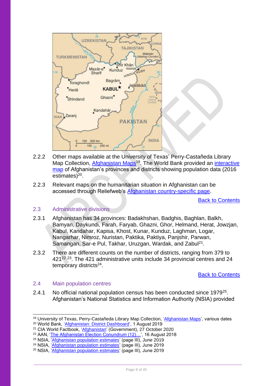

- 2.2.2 Other maps available at the University of Texas' Perry-Castañeda Library Map Collection, [Afghanistan](http://legacy.lib.utexas.edu/maps/afghanistan.html) Maps<sup>19</sup>. The World Bank provided an *interactive* [map](https://www.worldbank.org/en/data/interactive/2019/08/01/afghanistan-district-level-visualization) of Afghanistan's provinces and districts showing population data (2016) estimates)<sup>20</sup>.
- 2.2.3 Relevant maps on the humanitarian situation in Afghanistan can be accessed through Reliefweb's [Afghanistan country-specific page.](https://reliefweb.int/country/afg#maps-infographics)

[Back to Contents](#page-3-0)

## <span id="page-7-0"></span>2.3 Administrative divisions

- 2.3.1 Afghanistan has 34 provinces: Badakhshan, Badghis, Baghlan, Balkh, Bamyan, Daykundi, Farah, Faryab, Ghazni, Ghor, Helmand, Herat, Jowzjan, Kabul, Kandahar, Kapisa, Khost, Kunar, Kunduz, Laghman, Logar, Nangarhar, Nimroz, Nuristan, Paktika, Paktiya, Panjshir, Parwan, Samangan, Sar-e Pul, Takhar, Uruzgan, Wardak, and Zabul<sup>21</sup>.
- 2.3.2 There are different counts on the number of districts, ranging from 379 to 421<sup>22 23</sup>. The 421 administrative units include 34 provincial centres and 24 temporary districts<sup>24</sup>.

#### [Back to Contents](#page-3-0)

#### <span id="page-7-1"></span>2.4 Main population centres

2.4.1 No official national population census has been conducted since 1979<sup>25</sup>. Afghanistan's National Statistics and Information Authority (NSIA) provided

<sup>&</sup>lt;sup>19</sup> University of Texas, Perry-Castañeda Library Map Collection, ['Afghanistan Maps',](http://legacy.lib.utexas.edu/maps/afghanistan.html) various dates

<sup>20</sup> World Bank, ['Afghanistan: District Dashboard'](https://www.worldbank.org/en/data/interactive/2019/08/01/afghanistan-district-level-visualization), 1 August 2019

<sup>21</sup> CIA World Factbook, ['Afghanistan'](https://www.cia.gov/library/publications/the-world-factbook/geos/af.html) (Government), 27 October 2020

<sup>&</sup>lt;sup>22</sup> AAN, '<u>The Afghanistan Election Conundrum (12)…</u>', 16 August 2018

<sup>&</sup>lt;sup>23</sup> NSIA, ['Afghanistan population estimates'](https://web.archive.org/web/20200609174551/https:/www.nsia.gov.af:8080/wp-content/uploads/2019/06/%D8%A8%D8%B1-%D8%A2%D9%88%D8%B1%D8%AF-%D9%86%D9%81%D9%88%D8%B3-%D9%86%D9%87%D8%A7%DB%8C%DB%8C-%D8%B3%D8%A7%D9%84-98.pdf) (page III), June 2019

<sup>24</sup> NSIA, ['Afghanistan population estimates'](https://web.archive.org/web/20200609174551/https:/www.nsia.gov.af:8080/wp-content/uploads/2019/06/%D8%A8%D8%B1-%D8%A2%D9%88%D8%B1%D8%AF-%D9%86%D9%81%D9%88%D8%B3-%D9%86%D9%87%D8%A7%DB%8C%DB%8C-%D8%B3%D8%A7%D9%84-98.pdf) (page III), June 2019

<sup>25</sup> NSIA, ['Afghanistan population estimates'](https://web.archive.org/web/20200609174551/https:/www.nsia.gov.af:8080/wp-content/uploads/2019/06/%D8%A8%D8%B1-%D8%A2%D9%88%D8%B1%D8%AF-%D9%86%D9%81%D9%88%D8%B3-%D9%86%D9%87%D8%A7%DB%8C%DB%8C-%D8%B3%D8%A7%D9%84-98.pdf) (page III), June 2019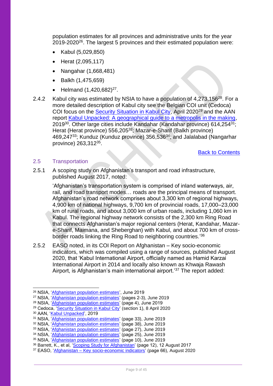population estimates for all provinces and administrative units for the year 2019-2020<sup>26</sup>. The largest 5 provinces and their estimated population were:

- Kabul (5,029,850)
- Herat (2,095,117)
- Nangahar (1,668,481)
- Balkh (1,475,659)
- Helmand  $(1,420,682)^{27}$ .
- 2.4.2 Kabul city was estimated by NSIA to have a population of 4,273,156<sup>28</sup>. For a more detailed description of Kabul city see the Belgian COI unit (Cedoca) COI focus on the [Security Situation in Kabul City,](https://www.ecoi.net/en/file/local/2028536/coi_focus_afghanistan_security_situation_in_kabul_city_20200408.pdf) April 2020<sup>29</sup> and the AAN report [Kabul Unpacked: A geographical guide to a metropolis in the making,](https://www.afghanistan-analysts.org/wp-content/uploads/2019/03/Kabul-Police-Districts.pdf) 2019<sup>30</sup>. Other large cities include Kandahar (Kandahar province) 614,254<sup>31</sup>; Herat (Herat province) 556,205<sup>32</sup>; Mazar-e-Sharif (Balkh province)  $469,247^{33}$ ; Kunduz (Kunduz province) 356,536 $34$ ; and Jalalabad (Nangarhar province) 263,312<sup>35</sup>.

[Back to Contents](#page-3-0)

#### <span id="page-8-0"></span>2.5 Transportation

2.5.1 A scoping study on Afghanistan's transport and road infrastructure, published August 2017, noted:

> 'Afghanistan's transportation system is comprised of inland waterways, air, rail, and road transport modes… roads are the principal means of transport. Afghanistan's road network comprises about 3,300 km of regional highways, 4,900 km of national highways, 9,700 km of provincial roads, 17,000–23,000 km of rural roads, and about 3,000 km of urban roads, including 1,060 km in Kabul. The regional highway network consists of the 2,300 km Ring Road that connects Afghanistan's major regional centers (Herat, Kandahar, Mazare-Sharif, Maimana, and Sheberghan) with Kabul, and about 700 km of crossborder roads linking the Ring Road to neighboring countries.<sup>'36</sup>

2.5.2 EASO noted, in its COI Report on Afghanistan – Key socio-economic indicators, which was compiled using a range of sources, published August 2020, that 'Kabul International Airport, officially named as Hamid Karzai International Airport in 2014 and locally also known as Khwaja Rawash Airport, is Afghanistan's main international airport.'<sup>37</sup> The report added:

<sup>26</sup> NSIA, ['Afghanistan population estimates',](https://web.archive.org/web/20200609174551/https:/www.nsia.gov.af:8080/wp-content/uploads/2019/06/%D8%A8%D8%B1-%D8%A2%D9%88%D8%B1%D8%AF-%D9%86%D9%81%D9%88%D8%B3-%D9%86%D9%87%D8%A7%DB%8C%DB%8C-%D8%B3%D8%A7%D9%84-98.pdf) June 2019

<sup>&</sup>lt;sup>27</sup> NSIA, '*Afghanistan population estimates'* (pages 2-3), June 2019

<sup>&</sup>lt;sup>28</sup> NSIA, ['Afghanistan population estimates'](https://web.archive.org/web/20200609174551/https:/www.nsia.gov.af:8080/wp-content/uploads/2019/06/%D8%A8%D8%B1-%D8%A2%D9%88%D8%B1%D8%AF-%D9%86%D9%81%D9%88%D8%B3-%D9%86%D9%87%D8%A7%DB%8C%DB%8C-%D8%B3%D8%A7%D9%84-98.pdf) (page 4), June 2019

<sup>29</sup> Cedoca, ['Security Situation in Kabul City'](https://www.ecoi.net/en/file/local/2028536/coi_focus_afghanistan_security_situation_in_kabul_city_20200408.pdf) (section 1), 8 April 2020

<sup>30</sup> AAN, ['Kabul Unpacked',](https://www.afghanistan-analysts.org/wp-content/uploads/2019/03/Kabul-Police-Districts.pdf) 2019

<sup>31</sup> NSIA, *Afghanistan population estimates'* (page 33), June 2019

<sup>&</sup>lt;sup>32</sup> NSIA, ['Afghanistan population estimates'](https://web.archive.org/web/20200609174551/https:/www.nsia.gov.af:8080/wp-content/uploads/2019/06/%D8%A8%D8%B1-%D8%A2%D9%88%D8%B1%D8%AF-%D9%86%D9%81%D9%88%D8%B3-%D9%86%D9%87%D8%A7%DB%8C%DB%8C-%D8%B3%D8%A7%D9%84-98.pdf) (page 38), June 2019

<sup>&</sup>lt;sup>33</sup> NSIA, ['Afghanistan population estimates'](https://web.archive.org/web/20200609174551/https:/www.nsia.gov.af:8080/wp-content/uploads/2019/06/%D8%A8%D8%B1-%D8%A2%D9%88%D8%B1%D8%AF-%D9%86%D9%81%D9%88%D8%B3-%D9%86%D9%87%D8%A7%DB%8C%DB%8C-%D8%B3%D8%A7%D9%84-98.pdf) (page 27), June 2019

<sup>&</sup>lt;sup>34</sup> NSIA, ['Afghanistan population estimates'](https://web.archive.org/web/20200609174551/https:/www.nsia.gov.af:8080/wp-content/uploads/2019/06/%D8%A8%D8%B1-%D8%A2%D9%88%D8%B1%D8%AF-%D9%86%D9%81%D9%88%D8%B3-%D9%86%D9%87%D8%A7%DB%8C%DB%8C-%D8%B3%D8%A7%D9%84-98.pdf) (page 25), June 2019

<sup>35</sup> NSIA, ['Afghanistan population estimates'](https://web.archive.org/web/20200609174551/https:/www.nsia.gov.af:8080/wp-content/uploads/2019/06/%D8%A8%D8%B1-%D8%A2%D9%88%D8%B1%D8%AF-%D9%86%D9%81%D9%88%D8%B3-%D9%86%D9%87%D8%A7%DB%8C%DB%8C-%D8%B3%D8%A7%D9%84-98.pdf) (page 10), June 2019

<sup>36</sup> Barrett, K., et al, ['Scoping Study for Afghanistan'](https://assets.publishing.service.gov.uk/media/5ac4816ee5274a0b107ead2f/Barrettetal-NadyaMundo-2017-ScopingStudyAfghanistan-FinalReport-AsCAP-AFG2121A-170812.pdf) (page 12), 12 August 2017

<sup>37</sup> EASO, 'Afghanistan – [Key socio-economic indicators'](https://coi.easo.europa.eu/administration/easo/PLib/2020_08_EASO_COI_Report_Afghanistan_Key_Socio_Economic_Indicators_Forcus_Kabul_Citry_Mazar_Sharif_Herat_City.pdf) (page 66), August 2020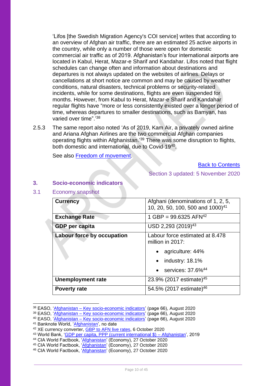'Lifos [the Swedish Migration Agency's COI service] writes that according to an overview of Afghan air traffic, there are an estimated 25 active airports in the country, while only a number of those were open for domestic commercial air traffic as of 2019. Afghanistan's four international airports are located in Kabul, Herat, Mazar-e Sharif and Kandahar. Lifos noted that flight schedules can change often and information about destinations and departures is not always updated on the websites of airlines. Delays or cancellations at short notice are common and may be caused by weather conditions, natural disasters, technical problems or security-related incidents, while for some destinations, flights are even suspended for months. However, from Kabul to Herat, Mazar-e Sharif and Kandahar regular flights have "more or less consistently existed over a longer period of time, whereas departures to smaller destinations, such as Bamyan, has varied over time".'<sup>38</sup>

2.5.3 The same report also noted 'As of 2019, Kam Air, a privately owned airline and Ariana Afghan Airlines are the two commercial Afghan companies operating flights within Afghanistan.' <sup>39</sup> There was some disruption to flights, both domestic and international, due to Covid-19<sup>40</sup>.

See also [Freedom of movement.](#page-33-3)

[Back to Contents](#page-3-0)

Section 3 updated: 5 November 2020

#### <span id="page-9-0"></span>**3. Socio-economic indicators**

<span id="page-9-1"></span>3.1 Economy snapshot

| <b>Currency</b>            | Afghani (denominations of 1, 2, 5,<br>10, 20, 50, 100, 500 and 1000) <sup>41</sup> |
|----------------------------|------------------------------------------------------------------------------------|
| <b>Exchange Rate</b>       | 1 GBP = $99.6325$ AFN <sup>42</sup>                                                |
| <b>GDP</b> per capita      | USD 2,293 (2019) <sup>43</sup>                                                     |
| Labour force by occupation | Labour force estimated at 8.478<br>million in 2017:                                |
|                            | agriculture: 44%                                                                   |
|                            | $\bullet$ industry: 18.1%                                                          |
|                            | services: 37.6% <sup>44</sup><br>$\bullet$                                         |
| <b>Unemployment rate</b>   | 23.9% (2017 estimate) <sup>45</sup>                                                |
| <b>Poverty rate</b>        | 54.5% (2017 estimate) <sup>46</sup>                                                |

<sup>38</sup> EASO, 'Afghanistan – [Key socio-economic indicators'](https://coi.easo.europa.eu/administration/easo/PLib/2020_08_EASO_COI_Report_Afghanistan_Key_Socio_Economic_Indicators_Forcus_Kabul_Citry_Mazar_Sharif_Herat_City.pdf) (page 66), August 2020

<sup>44</sup> CIA World Factbook, '*Afghanistan'* (Economy), 27 October 2020

<sup>39</sup> EASO, 'Afghanistan – [Key socio-economic indicators'](https://coi.easo.europa.eu/administration/easo/PLib/2020_08_EASO_COI_Report_Afghanistan_Key_Socio_Economic_Indicators_Forcus_Kabul_Citry_Mazar_Sharif_Herat_City.pdf) (page 66), August 2020

<sup>&</sup>lt;sup>40</sup> EASO, 'Afghanistan – [Key socio-economic indicators'](https://coi.easo.europa.eu/administration/easo/PLib/2020_08_EASO_COI_Report_Afghanistan_Key_Socio_Economic_Indicators_Forcus_Kabul_Citry_Mazar_Sharif_Herat_City.pdf) (page 66), August 2020

<sup>&</sup>lt;sup>41</sup> Banknote World, '<u>Afghanistan</u>', no date

<sup>&</sup>lt;sup>42</sup> XE currency converter, [GBP to AFN live rates,](https://www.xe.com/currencyconverter/convert/?Amount=1&From=GBP&To=AFN) 6 October 2020

<sup>&</sup>lt;sup>43</sup> World Bank, '<u>GDP per capita, PPP (current international \$) – Afghanistan',</u> 2019

<sup>&</sup>lt;sup>45</sup> CIA World Factbook, ['Afghanistan'](https://www.cia.gov/library/publications/the-world-factbook/geos/af.html) (Economy), 27 October 2020

<sup>46</sup> CIA World Factbook, ['Afghanistan'](https://www.cia.gov/library/publications/the-world-factbook/geos/af.html) (Economy), 27 October 2020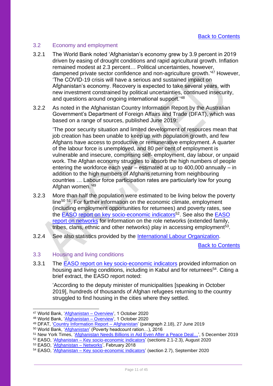## <span id="page-10-0"></span>3.2 Economy and employment

- 3.2.1 The World Bank noted 'Afghanistan's economy grew by 3.9 percent in 2019 driven by easing of drought conditions and rapid agricultural growth. Inflation remained modest at 2.3 percent… Political uncertainties, however, dampened private sector confidence and non-agriculture growth.' <sup>47</sup> However, 'The COVID-19 crisis will have a serious and sustained impact on Afghanistan's economy. Recovery is expected to take several years, with new investment constrained by political uncertainties, continued insecurity, and questions around ongoing international support.'<sup>48</sup>
- 3.2.2 As noted in the Afghanistan Country Information Report by the Australian Government's Department of Foreign Affairs and Trade (DFAT), which was based on a range of sources, published June 2019:

'The poor security situation and limited development of resources mean that job creation has been unable to keep up with population growth, and few Afghans have access to productive or remunerative employment. A quarter of the labour force is unemployed, and 80 per cent of employment is vulnerable and insecure, comprising self- employment, day labour, or unpaid work. The Afghan economy struggles to absorb the high numbers of people entering the workforce each year – estimated at up to 400,000 annually – in addition to the high numbers of Afghans returning from neighbouring countries … Labour force participation rates are particularly low for young Afghan women.'<sup>49</sup>

- 3.2.3 More than half the population were estimated to be living below the poverty line<sup>50 51</sup>. For further information on the economic climate, employment (including employment opportunities for returnees) and poverty rates, see the **EASO report on key socio-economic indicators**<sup>52</sup>. See also the **EASO** [report on networks](https://coi.easo.europa.eu/administration/easo/PLib/Afghanistan_Networks.pdf) for information on the role networks (extended family, tribes, clans, ethnic and other networks) play in accessing employment<sup>53</sup>.
- 3.2.4 See also statistics provided by the [International Labour Organization.](https://ilostat.ilo.org/data/country-profiles/)

[Back to Contents](#page-3-0)

#### <span id="page-10-1"></span>3.3 Housing and living conditions

3.3.1 The [EASO report on key socio-economic indicators](https://coi.easo.europa.eu/administration/easo/PLib/2020_08_EASO_COI_Report_Afghanistan_Key_Socio_Economic_Indicators_Forcus_Kabul_Citry_Mazar_Sharif_Herat_City.pdf) provided information on housing and living conditions, including in Kabul and for returnees<sup>54</sup>. Citing a brief extract, the EASO report noted:

'According to the deputy minister of municipalities [speaking in October 2019], hundreds of thousands of Afghan refugees returning to the country struggled to find housing in the cities where they settled.

<sup>47</sup> World Bank, ['Afghanistan –](https://www.worldbank.org/en/country/afghanistan/overview) Overview', 1 October 2020

<sup>&</sup>lt;sup>48</sup> World Bank, '<u>Afghanistan – Overview</u>', 1 October 2020

<sup>&</sup>lt;sup>49</sup> DFAT, '<u>Country Information Report – Afghanistan</u>' (paragraph 2.18), 27 June 2019

<sup>50</sup> World Bank, ['Afghanistan'](https://data.worldbank.org/country/AF) (Poverty headcount ration…), 2016

<sup>51</sup> New York Times, ['Afghanistan Needs Billions in Aid Even After a Peace Deal…'](https://www.nytimes.com/2019/12/05/world/asia/afghanistan-aid-world-bank.html), 5 December 2019

<sup>&</sup>lt;sup>52</sup> EASO, 'Afghanistan – [Key socio-economic](https://coi.easo.europa.eu/administration/easo/PLib/2020_08_EASO_COI_Report_Afghanistan_Key_Socio_Economic_Indicators_Forcus_Kabul_Citry_Mazar_Sharif_Herat_City.pdf) indicators' (sections 2.1-2.3), August 2020

<sup>53</sup> EASO, 'Afghanistan - Networks', February 2018

<sup>&</sup>lt;sup>54</sup> EASO, 'Afghanistan – [Key socio-economic indicators'](https://coi.easo.europa.eu/administration/easo/PLib/2020_08_EASO_COI_Report_Afghanistan_Key_Socio_Economic_Indicators_Forcus_Kabul_Citry_Mazar_Sharif_Herat_City.pdf) (section 2.7), September 2020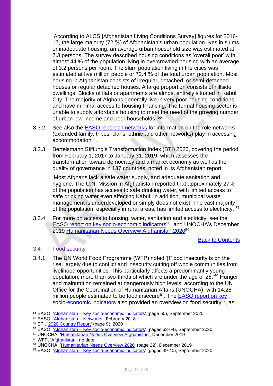'According to ALCS [Afghanistan Living Conditions Survey] figures for 2016- 17, the large majority (72 %) of Afghanistan's urban population lives in slums or inadequate housing; an average urban household size was estimated at 7.3 persons. The survey described housing conditions as 'overall poor' with almost 44 % of the population living in overcrowded housing with an average of 3.2 persons per room. The slum population living in the cities was estimated at five million people or 72.4 % of the total urban population. Most housing in Afghanistan consists of irregular, detached, or semi-detached houses or regular detached houses. A large proportion consists of hillside dwellings. Blocks of flats or apartments are almost entirely situated in Kabul City. The majority of Afghans generally live in very poor housing conditions and have minimal access to housing financing. The formal housing sector is unable to supply affordable housing to meet the need of the growing number of urban low-income and poor households.' 55

- 3.3.2 See also the [EASO report on networks](https://coi.easo.europa.eu/administration/easo/PLib/Afghanistan_Networks.pdf) for information on the role networks (extended family, tribes, clans, ethnic and other networks) play in accessing accommodation<sup>56</sup>.
- 3.3.3 Bertelsmann Stiftung's Transformation Index (BTI) 2020, covering the period from February 1, 2017 to January 31, 2019, which assesses the transformation toward democracy and a market economy as well as the quality of governance in 137 countries, noted in its Afghanistan report:

'Most Afghans lack a safe water supply, and adequate sanitation and hygiene. The U.N. Mission in Afghanistan reported that approximately 27% of the population has access to safe drinking water, with limited access to safe drinking water even affecting Kabul. In addition, municipal waste management is underdeveloped or simply does not exist. The vast majority of the population, especially in rural areas, has limited access to electricity.' 57

3.3.4 For more on access to housing, water, sanitation and electricity, see the [EASO report on key socio-economic indicators](https://coi.easo.europa.eu/administration/easo/PLib/2020_08_EASO_COI_Report_Afghanistan_Key_Socio_Economic_Indicators_Forcus_Kabul_Citry_Mazar_Sharif_Herat_City.pdf)<sup>58</sup>, and UNOCHA's December 2019 Humanitarian [Needs Overview Afghanistan 2020](https://reliefweb.int/sites/reliefweb.int/files/resources/afg_humanitarian_needs_overview_2020.pdf)<sup>59</sup>.

## [Back to Contents](#page-3-0)

## <span id="page-11-0"></span>3.4 Food security

3.4.1 The UN World Food Programme (WFP) noted '[F]ood insecurity is on the rise, largely due to conflict and insecurity cutting off whole communities from livelihood opportunities. This particularly affects a predominantly young population, more than two-thirds of which are under the age of 25.'<sup>60</sup> Hunger and malnutrition remained at dangerously high levels, according to the UN Office for the Coordination of Humanitarian Affairs (UNOCHA), with 14.28 million people estimated to be food insecure<sup>61</sup>. The **EASO report on key** [socio-economic indicators](https://coi.easo.europa.eu/administration/easo/PLib/2020_08_EASO_COI_Report_Afghanistan_Key_Socio_Economic_Indicators_Forcus_Kabul_Citry_Mazar_Sharif_Herat_City.pdf) also provided an overview on food security<sup>62</sup>, as

<sup>60</sup> WFP, ['Afghanistan',](https://www.wfp.org/countries/afghanistan) no date

<sup>55</sup> EASO, 'Afghanistan – [Key socio-economic indicators'](https://coi.easo.europa.eu/administration/easo/PLib/2020_08_EASO_COI_Report_Afghanistan_Key_Socio_Economic_Indicators_Forcus_Kabul_Citry_Mazar_Sharif_Herat_City.pdf) (page 60), September 2020

<sup>56</sup> EASO, ['Afghanistan –](https://coi.easo.europa.eu/administration/easo/PLib/Afghanistan_Networks.pdf) Networks', February 2018

<sup>57</sup> BTI, ['2020 Country Report'](https://www.bti-project.org/content/en/downloads/reports/country_report_2020_AFG.pdf) (page 9), 2020

<sup>58</sup> EASO, 'Afghanistan – [Key socio-economic indicators'](https://coi.easo.europa.eu/administration/easo/PLib/2020_08_EASO_COI_Report_Afghanistan_Key_Socio_Economic_Indicators_Forcus_Kabul_Citry_Mazar_Sharif_Herat_City.pdf) (pages 63-64), September 2020

<sup>&</sup>lt;sup>59</sup> UNOCHA, '<u>Humanitarian Needs Overview Afghanistan</u>', December 2019

<sup>61</sup> UNOCHA, ['Humanitarian Needs Overview 2020'](https://reliefweb.int/report/afghanistan/afghanistan-humanitarian-needs-overview-2020-december-2019#:~:text=As%20a%20result%20of%20the,of%20humanitarian%20assistance%20in%202020.) (page 22), December 2019

<sup>62</sup> EASO, 'Afghanistan – [Key socio-economic indicators'](https://coi.easo.europa.eu/administration/easo/PLib/2020_08_EASO_COI_Report_Afghanistan_Key_Socio_Economic_Indicators_Forcus_Kabul_Citry_Mazar_Sharif_Herat_City.pdf) (pages 39-40), September 2020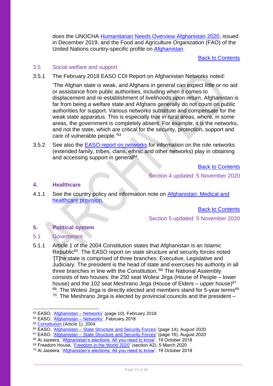does the UNOCHA [Humanitarian Needs Overview Afghanistan 2020,](https://reliefweb.int/sites/reliefweb.int/files/resources/afg_humanitarian_needs_overview_2020.pdf) issued in December 2019, and the Food and Agriculture Organization (FAO) of the United Nations country-specific profile on [Afghanistan.](http://www.fao.org/countryprofiles/index/en/?iso3=AFG)

[Back to Contents](#page-3-0)

#### <span id="page-12-0"></span>3.5 Social welfare and support

3.5.1 The February 2018 EASO COI Report on Afghanistan Networks noted:

'The Afghan state is weak, and Afghans in general can expect little or no aid or assistance from public authorities, including when it comes to displacement and re-establishment of livelihoods upon return. Afghanistan is far from being a welfare state and Afghans generally do not count on public authorities for support. Various networks substitute and compensate for the weak state apparatus. This is especially true in rural areas, where, in some areas, the government is completely absent. For example, it is the networks, and not the state, which are critical for the security, protection, support and care of vulnerable people.'<sup>63</sup>

3.5.2 See also the [EASO report on networks](https://coi.easo.europa.eu/administration/easo/PLib/Afghanistan_Networks.pdf) for information on the role networks (extended family, tribes, clans, ethnic and other networks) play in obtaining and accessing support in general<sup>64</sup>.

[Back to Contents](#page-3-0)

Section 4 updated: 5 November 2020

#### <span id="page-12-1"></span>**4. Healthcare**

4.1.1 See the country policy and information note on [Afghanistan:](https://www.gov.uk/government/publications/afghanistan-country-policy-and-information-notes) Medical and [healthcare provision.](https://www.gov.uk/government/publications/afghanistan-country-policy-and-information-notes)

[Back to Contents](#page-3-0)

## Section 5 updated: 5 November 2020

## <span id="page-12-2"></span>**5. Political system**

## <span id="page-12-3"></span>5.1 Government

5.1.1 Article 1 of the 2004 Constitution states that Afghanistan is an Islamic Republic<sup>65</sup>. The EASO report on state structure and security forces noted '[T]he state is comprised of three branches: Executive, Legislative and Judiciary. The president is the head of state and exercises his authority in all three branches in line with the Constitution.' <sup>66</sup> The National Assembly consists of two houses: the 250 seat Wolesi Jirga (House of People – lower house) and the 102 seat Meshrano Jirga (House of Elders – upper house)<sup>67</sup> 68. The Wolesi Jirga is directly elected and members stand for 5-year terms<sup>69</sup>  $70$ . The Meshrano Jirga is elected by provincial councils and the president  $-$ 

<sup>63</sup> EASO, ['Afghanistan –](https://coi.easo.europa.eu/administration/easo/PLib/Afghanistan_Networks.pdf) Networks' (page 10), February 2018

<sup>64</sup> EASO, ['Afghanistan –](https://coi.easo.europa.eu/administration/easo/PLib/Afghanistan_Networks.pdf) Networks', February 2018

<sup>65</sup> [Constitution](https://www.constituteproject.org/constitution/Afghanistan_2004.pdf?lang=en) (Article 1), 2004

<sup>&</sup>lt;sup>66</sup> EASO, 'Afghanistan – [State Structure and Security Forces'](https://coi.easo.europa.eu/administration/easo/PLib/2020_08_EASO_COI_Report_Afghanistan_state_structure_and_security_forces.pdf) (page 14), August 2020

<sup>&</sup>lt;sup>67</sup> EASO, '<u>Afghanistan – State Structure and Security Forces</u>' (page 16), August 2020

<sup>&</sup>lt;sup>68</sup> Al Jazeera, '<u>Afghanistan's elections: All you need to know</u>', 19 October 2018

<sup>&</sup>lt;sup>69</sup> Freedom House, '*Freedom in the World 2020'* (section A2), 5 March 2020

<sup>70</sup> Al Jazeera, ['Afghanistan's elections: All you need to know'](https://www.aljazeera.com/news/2018/10/19/afghanistans-elections-all-you-need-to-know/), 19 October 2018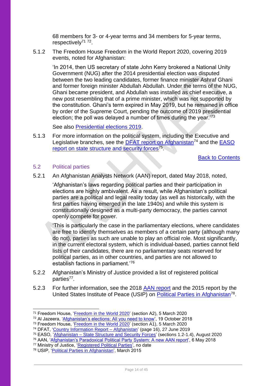68 members for 3- or 4-year terms and 34 members for 5-year terms, respectively<sup>71</sup><sup>72</sup>.

5.1.2 The Freedom House Freedom in the World Report 2020, covering 2019 events, noted for Afghanistan:

'In 2014, then US secretary of state John Kerry brokered a National Unity Government (NUG) after the 2014 presidential election was disputed between the two leading candidates, former finance minister Ashraf Ghani and former foreign minister Abdullah Abdullah. Under the terms of the NUG, Ghani became president, and Abdullah was installed as chief executive, a new post resembling that of a prime minister, which was not supported by the constitution. Ghani's term expired in May 2019, but he remained in office by order of the Supreme Court, pending the outcome of 2019 presidential election; the poll was delayed a number of times during the year.<sup>73</sup>

See also [Presidential elections 2019.](#page-15-0)

5.1.3 For more information on the political system, including the Executive and Legislative branches, see the [DFAT report on Afghanistan](https://www.dfat.gov.au/sites/default/files/country-information-report-afghanistan.pdf)<sup>74</sup> and the EASO [report on state structure and security forces](https://coi.easo.europa.eu/administration/easo/PLib/2020_08_EASO_COI_Report_Afghanistan_state_structure_and_security_forces.pdf)<sup>75</sup>.

[Back to Contents](#page-3-0)

## <span id="page-13-0"></span>5.2 Political parties

5.2.1 An Afghanistan Analysts Network (AAN) report, dated May 2018, noted,

'Afghanistan's laws regarding political parties and their participation in elections are highly ambivalent. As a result, while Afghanistan's political parties are a political and legal reality today (as well as historically, with the first parties having emerged in the late 1940s) and while this system is constitutionally designed as a multi-party democracy, the parties cannot openly compete for power.

'This is particularly the case in the parliamentary elections, where candidates are free to identify themselves as members of a certain party (although many do not), parties as such are unable to play an official role. Most significantly, in the current electoral system, which is individual-based, parties cannot field lists of their candidates, there are no parliamentary seats reserved for political parties, as in other countries, and parties are not allowed to establish factions in parliament.'<sup>76</sup>

- 5.2.2 Afghanistan's Ministry of Justice provided a list of registered political parties<sup>77</sup>.
- 5.2.3 For further information, see the 2018 [AAN report](https://www.afghanistan-analysts.org/en/special-reports/outside-inside-afghanistans-paradoxical-political-party-system-2001-16/) and the 2015 report by the United States Institute of Peace (USIP) on [Political Parties in Afghanistan](https://www.usip.org/sites/default/files/SR362-Political-Parties-in-Afghanistan.pdf)<sup>78</sup>.

<sup>71</sup> Freedom House, ['Freedom in the World 2020'](https://freedomhouse.org/country/afghanistan/freedom-world/2020) (section A2), 5 March 2020

<sup>72</sup> Al Jazeera, ['Afghanistan's elections: All you need to know'](https://www.aljazeera.com/news/2018/10/19/afghanistans-elections-all-you-need-to-know/), 19 October 2018

<sup>73</sup> Freedom House, ['Freedom in the World 2020'](https://freedomhouse.org/country/afghanistan/freedom-world/2020) (section A1), 5 March 2020

<sup>&</sup>lt;sup>74</sup> DFAT, 'Country Information Report - Afghanistan' (page 16), 27 June 2019

<sup>&</sup>lt;sup>75</sup> EASO, 'Afghanistan – [State Structure and Security Forces'](https://coi.easo.europa.eu/administration/easo/PLib/2020_08_EASO_COI_Report_Afghanistan_state_structure_and_security_forces.pdf) (sections 1.2-1.4), August 2020

<sup>76</sup> AAN, ['Afghanistan's Paradoxical Political Party System: A new AAN report',](https://www.afghanistan-analysts.org/en/special-reports/outside-inside-afghanistans-paradoxical-political-party-system-2001-16/) 6 May 2018

<sup>77</sup> Ministry of Justice, ['Registered Political Parties',](https://moj.gov.af/en/registered-political-parties) no date

<sup>78</sup> USIP, ['Political Parties in Afghanistan',](https://www.usip.org/sites/default/files/SR362-Political-Parties-in-Afghanistan.pdf) March 2015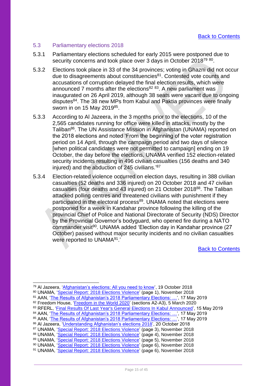## <span id="page-14-0"></span>5.3 Parliamentary elections 2018

- 5.3.1 Parliamentary elections scheduled for early 2015 were postponed due to security concerns and took place over 3 days in October 2018<sup>79 80</sup>.
- 5.3.2 Elections took place in 33 of the 34 provinces; voting in Ghazni did not occur due to disagreements about constituencies<sup>81</sup>. Contested vote counts and accusations of corruption delayed the final election results, which were announced 7 months after the elections<sup>82 83</sup>. A new parliament was inaugurated on 26 April 2019, although 38 seats were vacant due to ongoing disputes<sup>84</sup>. The 38 new MPs from Kabul and Paktia provinces were finally sworn in on 15 May 2019<sup>85</sup>.
- 5.3.3 According to Al Jazeera, in the 3 months prior to the elections, 10 of the 2,565 candidates running for office were killed in attacks, mostly by the Taliban<sup>86</sup>. The UN Assistance Mission in Afghanistan (UNAMA) reported on the 2018 elections and noted 'From the beginning of the voter registration period on 14 April, through the campaign period and two days of silence [when political candidates were not permitted to campaign] ending on 19 October, the day before the elections, UNAMA verified 152 election-related security incidents resulting in 496 civilian casualties (156 deaths and 340 injured) and the abduction of 245 civilians.' 87
- 5.3.4 Election-related violence occurred on election days, resulting in 388 civilian casualties (52 deaths and 336 injured) on 20 October 2018 and 47 civilian casualties (four deaths and 43 injured) on 21 October 2018<sup>88</sup>. The Taliban attacked polling centres and threatened civilians with punishment if they participated in the electoral process<sup>89</sup>. UNAMA noted that elections were postponed for a week in Kandahar province following the killing of the provincial Chief of Police and National Directorate of Security (NDS) Director by the Provincial Governor's bodyguard, who opened fire during a NATO commander visit<sup>90</sup>. UNAMA added 'Election day in Kandahar province (27 October) passed without major security incidents and no civilian casualties were reported to UNAMA<sup>91</sup>.'

[Back to Contents](#page-3-0)

Page 15 of 45

<sup>79</sup> Al Jazeera, ['Afghanistan's elections: All you need to know'](https://www.aljazeera.com/news/2018/10/19/afghanistans-elections-all-you-need-to-know/), 19 October 2018

<sup>80</sup> UNAMA, ['Special Report: 2018 Elections Violence'](https://unama.unmissions.org/sites/default/files/special_report_on_2018_elections_violence_november_2018.pdf) (page 1), November 2018

<sup>81</sup> AAN, ['The Results of Afghanistan's 2018 Parliamentary Elections: …'](https://www.afghanistan-analysts.org/en/reports/political-landscape/the-results-of-afghanistans-2018-parliamentary-elections-a-new-but-incomplete-wolesi-jirga/), 17 May 2019

<sup>82</sup> Freedom House, ['Freedom in the World 2020'](https://freedomhouse.org/country/afghanistan/freedom-world/2020) (sections A2-A3), 5 March 2020

<sup>83</sup> RFERL, ['Final Results Of Last Year's General Elections In Kabul Announced',](https://www.rferl.org/a/final-results-of-2018-general-elections-in-kabul-announced/29941520.html) 15 May 2019

<sup>84</sup> AAN, 'The Results of Afghanistan's 2018 Parliamentary Elections: ...', 17 May 2019

<sup>&</sup>lt;sup>85</sup> AAN, '<u>The Results of Afghanistan's 2018 Parliamentary Elections: …',</u> 17 May 2019

<sup>86</sup> Al Jazeera, ['Understanding Afghanistan's elections 2018'](https://www.aljazeera.com/news/2018/10/20/understanding-afghanistans-elections-2018), 20 October 2018

<sup>87</sup> UNAMA, ['Special Report: 2018 Elections Violence'](https://unama.unmissions.org/sites/default/files/special_report_on_2018_elections_violence_november_2018.pdf) (page 3), November 2018

<sup>88</sup> UNAMA, ['Special Report: 2018 Elections Violence'](https://unama.unmissions.org/sites/default/files/special_report_on_2018_elections_violence_november_2018.pdf) (page 4), November 2018

<sup>89</sup> UNAMA, ['Special Report: 2018 Elections Violence'](https://unama.unmissions.org/sites/default/files/special_report_on_2018_elections_violence_november_2018.pdf) (page 5), November 2018

<sup>90</sup> UNAMA, ['Special Report: 2018 Elections Violence'](https://unama.unmissions.org/sites/default/files/special_report_on_2018_elections_violence_november_2018.pdf) (page 6), November 2018 <sup>91</sup> UNAMA, ['Special Report: 2018 Elections Violence'](https://unama.unmissions.org/sites/default/files/special_report_on_2018_elections_violence_november_2018.pdf) (page 6), November 2018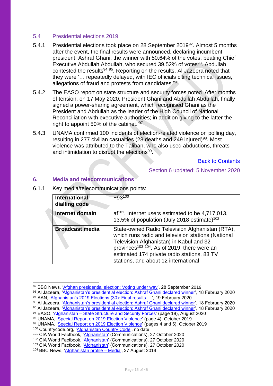### <span id="page-15-0"></span>5.4 Presidential elections 2019

- 5.4.1 Presidential elections took place on 28 September 2019<sup>92</sup>. Almost 5 months after the event, the final results were announced, declaring incumbent president, Ashraf Ghani, the winner with 50.64% of the votes, beating Chief Executive Abdullah Abdullah, who secured 39.52% of votes<sup>93</sup>. Abdullah contested the results<sup>94 95</sup>. Reporting on the results, AI Jazeera noted that they were '… repeatedly delayed, with IEC officials citing technical issues, allegations of fraud and protests from candidates.'<sup>96</sup>
- 5.4.2 The EASO report on state structure and security forces noted 'After months of tension, on 17 May 2020, President Ghani and Abdullah Abdullah, finally signed a power-sharing agreement, which recognised Ghani as the President and Abdullah as the leader of the High Council of National Reconciliation with executive authorities; in addition giving to the latter the right to appoint 50% of the cabinet.<sup>'97</sup>
- 5.4.3 UNAMA confirmed 100 incidents of election-related violence on polling day, resulting in 277 civilian casualties (28 deaths and 249 injured)<sup>98</sup>. Most violence was attributed to the Taliban, who also used abductions, threats and intimidation to disrupt the elections<sup>99</sup>.

[Back to Contents](#page-3-0)

Section 6 updated: 5 November 2020

#### <span id="page-15-1"></span>**6. Media and telecommunications**

| <b>International</b><br>dialling code | $+93^{100}$                                                                                                                                                                                                                                                                                                    |
|---------------------------------------|----------------------------------------------------------------------------------------------------------------------------------------------------------------------------------------------------------------------------------------------------------------------------------------------------------------|
| Internet domain                       | $af^{101}$ . Internet users estimated to be 4,717,013,<br>13.5% of population (July 2018 estimate) <sup>102</sup>                                                                                                                                                                                              |
| <b>Broadcast media</b>                | State-owned Radio Television Afghanistan (RTA),<br>which runs radio and television stations (National<br>Television Afghanistan) in Kabul and 32<br>provinces <sup>103</sup> <sup>104</sup> . As of 2019, there were an<br>estimated 174 private radio stations, 83 TV<br>stations, and about 12 international |

6.1.1 Key media/telecommunications points:

<sup>92</sup> BBC News, ['Afghan presidential election: Voting under way'](https://www.bbc.co.uk/news/av/world-asia-49863224), 28 September 2019

<sup>93</sup> Al Jazeera, ['Afghanistan's presidential election: Ashraf Ghani declared winner',](https://www.aljazeera.com/news/2020/2/18/afghanistans-presidential-election-ashraf-ghani-declared-winner) 18 February 2020

<sup>94</sup> AAN, 'Afghanistan's 2019 Elections (30): Final results... ', 19 February 2020

<sup>&</sup>lt;sup>95</sup> Al Jazeera, '<u>Afghanistan's presidential election: Ashraf Ghani declared winner</u>', 18 February 2020 <sup>96</sup> Al Jazeera, ['Afghanistan's presidential election: Ashraf Ghani declared winner',](https://www.aljazeera.com/news/2020/2/18/afghanistans-presidential-election-ashraf-ghani-declared-winner) 18 February 2020

<sup>97</sup> EASO, 'Afghanistan – [State Structure and Security Forces'](https://coi.easo.europa.eu/administration/easo/PLib/2020_08_EASO_COI_Report_Afghanistan_state_structure_and_security_forces.pdf) (page 19), August 2020

<sup>98</sup> UNAMA, ['Special Report on 2019 Election Violence'](https://unama.unmissions.org/sites/default/files/unama_special_report_-_2019_election-related_violence_0.pdf) (page 4), October 2019

<sup>99</sup> UNAMA, '<u>Special Report on 2019 Election Violence</u>' (pages 4 and 5), October 2019

<sup>100</sup> Countrycode.org, ['Afghanistan Country Code',](https://countrycode.org/afghanistan) no date

<sup>101</sup> CIA World Factbook, ['Afghanistan'](https://www.cia.gov/library/publications/the-world-factbook/geos/af.html) (Communications), 27 October 2020

<sup>&</sup>lt;sup>102</sup> CIA World Factbook, ['Afghanistan'](https://www.cia.gov/library/publications/the-world-factbook/geos/af.html) (Communications), 27 October 2020

<sup>&</sup>lt;sup>103</sup> CIA World Factbook, ['Afghanistan'](https://www.cia.gov/library/publications/the-world-factbook/geos/af.html) (Communications), 27 October 2020

<sup>&</sup>lt;sup>104</sup> BBC News, ['Afghanistan profile –](https://www.bbc.co.uk/news/world-south-asia-12013942) Media', 27 August 2019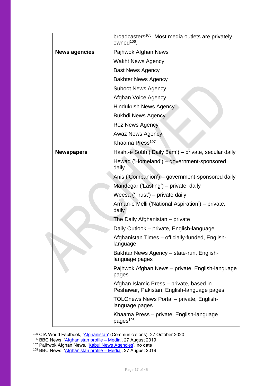|                      | broadcasters <sup>105</sup> . Most media outlets are privately<br>owned <sup>106</sup> . |
|----------------------|------------------------------------------------------------------------------------------|
| <b>News agencies</b> | Pajhwok Afghan News                                                                      |
|                      | <b>Wakht News Agency</b>                                                                 |
|                      | <b>Bast News Agency</b>                                                                  |
|                      | <b>Bakhter News Agency</b>                                                               |
|                      | <b>Suboot News Agency</b>                                                                |
|                      | Afghan Voice Agency                                                                      |
|                      | <b>Hindukush News Agency</b>                                                             |
|                      | <b>Bukhdi News Agency</b>                                                                |
|                      | <b>Roz News Agency</b>                                                                   |
|                      | <b>Awaz News Agency</b>                                                                  |
|                      | Khaama Press <sup>107</sup>                                                              |
| <b>Newspapers</b>    | Hasht-e Sobh ('Daily 8am') - private, secular daily                                      |
|                      | Hewad ('Homeland') - government-sponsored<br>daily                                       |
|                      | Anis ('Companion') - government-sponsored daily                                          |
|                      | Mandegar ('Lasting') – private, daily                                                    |
|                      | Weesa ('Trust') - private daily                                                          |
|                      | Arman-e Melli ('National Aspiration') – private,<br>daily                                |
|                      | The Daily Afghanistan - private                                                          |
|                      | Daily Outlook - private, English-language                                                |
|                      | Afghanistan Times - officially-funded, English-<br>language                              |
|                      | Bakhtar News Agency – state-run, English-<br>language pages                              |
|                      | Pajhwok Afghan News – private, English-language<br>pages                                 |
|                      | Afghan Islamic Press – private, based in<br>Peshawar, Pakistan; English-language pages   |
|                      | TOLOnews News Portal – private, English-<br>language pages                               |
|                      | Khaama Press – private, English-language<br>pages <sup>108</sup>                         |

<sup>105</sup> CIA World Factbook, ['Afghanistan'](https://www.cia.gov/library/publications/the-world-factbook/geos/af.html) (Communications), 27 October 2020

- <sup>106</sup> BBC News, ['Afghanistan profile –](https://www.bbc.co.uk/news/world-south-asia-12013942) Media', 27 August 2019
- <sup>107</sup> Pajhwok Afghan News, ['Kabul News Agencies',](http://vote.af/en/content/kabul-news-agencies) no date
- <sup>108</sup> BBC News, ['Afghanistan profile –](https://www.bbc.co.uk/news/world-south-asia-12013942) Media', 27 August 2019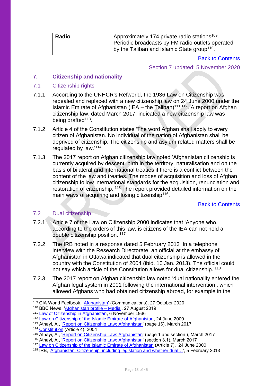| Radio | Approximately 174 private radio stations <sup>109</sup> .<br>Periodic broadcasts by FM radio outlets operated |
|-------|---------------------------------------------------------------------------------------------------------------|
|       | by the Taliban and Islamic State group <sup>110</sup> .                                                       |

[Back to Contents](#page-3-0)

Section 7 updated: 5 November 2020

## <span id="page-17-0"></span>**7. Citizenship and nationality**

### <span id="page-17-1"></span>7.1 Citizenship rights

- 7.1.1 According to the UNHCR's Refworld, the 1936 Law on Citizenship was repealed and replaced with a new citizenship law on 24 June 2000 under the Islamic Emirate of Afghanistan (IEA – the Taliban)<sup>111,112</sup>. A report on Afghan citizenship law, dated March 2017, indicated a new citizenship law was being drafted<sup>113</sup>.
- 7.1.2 Article 4 of the Constitution states 'The word Afghan shall apply to every citizen of Afghanistan. No individual of the nation of Afghanistan shall be deprived of citizenship. The citizenship and asylum related matters shall be regulated by law.'<sup>114</sup>
- 7.1.3 The 2017 report on Afghan citizenship law noted 'Afghanistan citizenship is currently acquired by descent, birth in the territory, naturalisation and on the basis of bilateral and international treaties if there is a conflict between the content of the law and treaties. The modes of acquisition and loss of Afghan citizenship follow international standards for the acquisition, renunciation and restoration of citizenship.'<sup>115</sup> The report provided detailed information on the main ways of acquiring and losing citizenship<sup>116</sup>.

[Back to Contents](#page-3-0)

## <span id="page-17-2"></span>7.2 Dual citizenship

- 7.2.1 Article 7 of the Law on Citizenship 2000 indicates that 'Anyone who, according to the orders of this law, is citizens of the IEA can not hold a double citizenship position.'<sup>117</sup>
- 7.2.2 The IRB noted in a response dated 5 February 2013 'In a telephone interview with the Research Directorate, an official at the embassy of Afghanistan in Ottawa indicated that dual citizenship is allowed in the country with the Constitution of 2004 (ibid. 10 Jan. 2013). The official could not say which article of the Constitution allows for dual citizenship.'<sup>118</sup>
- 7.2.3 The 2017 report on Afghan citizenship law noted 'dual nationality entered the Afghan legal system in 2001 following the international intervention', which allowed Afghans who had obtained citizenship abroad, for example in the

<sup>109</sup> CIA World Factbook, ['Afghanistan'](https://www.cia.gov/library/publications/the-world-factbook/geos/af.html) (Communications), 27 October 2020

<sup>110</sup> BBC News, ['Afghanistan profile –](https://www.bbc.co.uk/news/world-south-asia-12013942) Media', 27 August 2019

<sup>111</sup> [Law of Citizenship in Afghanistan,](https://www.refworld.org/docid/42d63de34.html) 6 November 1936

<sup>112</sup> Law on Citizenship of the [Islamic Emirate of Afghanistan,](https://www.refworld.org/docid/404c988d4.html) 24 June 2000

<sup>113</sup> Athayi, A., ['Report on Citizenship Law: Afghanistan'](https://cadmus.eui.eu/bitstream/handle/1814/45933/GLOBALCIT_CR_2017_09.pdf) (page 16), March 2017

<sup>114</sup> [Constitution](https://www.constituteproject.org/constitution/Afghanistan_2004.pdf?lang=en) (Article 4), 2004

<sup>115</sup> Athayi, A., ['Report on Citizenship Law: Afghanistan'](https://cadmus.eui.eu/bitstream/handle/1814/45933/GLOBALCIT_CR_2017_09.pdf) (page 1 and section ), March 2017

<sup>116</sup> Athayi, A., '<u>Report on Citizenship Law: Afghanistan'</u> (section 3.1), March 2017

<sup>117</sup> [Law on Citizenship of the Islamic Emirate of Afghanistan](https://www.refworld.org/docid/404c988d4.html) (Article 7), 24 June 2000

<sup>118</sup> IRB, ['Afghanistan: Citizenship, including legislation and whether dual…'](https://www.refworld.org/docid/51345c1a2.html), 5 February 2013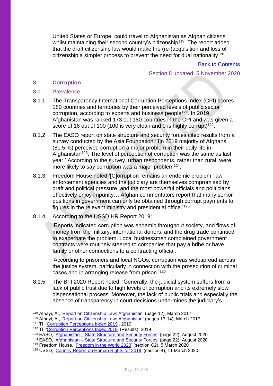United States or Europe, could travel to Afghanistan as Afghan citizens whilst maintaining their second country's citizenship<sup>119</sup>. The report added that the draft citizenship law would make the (re-)acquisition and loss of citizenship a simpler process to prevent the need for dual nationality<sup>120</sup>.

[Back to Contents](#page-3-0)

## Section 8 updated: 5 November 2020

#### <span id="page-18-0"></span>**8. Corruption**

#### <span id="page-18-1"></span>8.1 Prevalence

- 8.1.1 The Transparency International Corruption Perceptions Index (CPI) scores 180 countries and territories by their perceived levels of public sector corruption, according to experts and business people<sup>121</sup>. In 2019, Afghanistan was ranked 173 out 180 countries in the CPI and was given a score of 16 out of 100 (100 is very clean and 0 is highly corrupt)<sup>122</sup>.
- 8.1.2 The EASO report on state structure and security forces cited results from a survey conducted by the Asia Foundation '[I]n 2019 majority of Afghans (81.5 %) perceived corruption a major problem in their daily life in Afghanistan<sup>123</sup>. The level of perception of corruption was the same as last year.' According to the survey, urban respondents, rather than rural, were more likely to say corruption was a major problem<sup>124</sup>.
- 8.1.3 Freedom House noted '[C]orruption remains an endemic problem, law enforcement agencies and the judiciary are themselves compromised by graft and political pressure, and the most powerful officials and politicians effectively enjoy impunity… Afghan commentators report that many senior positions in government can only be obtained through corrupt payments to figures in the relevant ministry and presidential office.' 125
- 8.1.4 According to the USSD HR Report 2019:

'Reports indicated corruption was endemic throughout society, and flows of money from the military, international donors, and the drug trade continued to exacerbate the problem. Local businessmen complained government contracts were routinely steered to companies that pay a bribe or have family or other connections to a contracting official.

'According to prisoners and local NGOs, corruption was widespread across the justice system, particularly in connection with the prosecution of criminal cases and in arranging release from prison.'<sup>126</sup>

8.1.5 The BTI 2020 Report noted, 'Generally, the judicial system suffers from a lack of public trust due to high levels of corruption and its extremely slow dispensational process. Moreover, the lack of public trials and especially the absence of transparency in court decisions undermines the judiciary's

<sup>119</sup> Athayi, A., ['Report on Citizenship Law: Afghanistan'](https://cadmus.eui.eu/bitstream/handle/1814/45933/GLOBALCIT_CR_2017_09.pdf) (page 12), March 2017

<sup>120</sup> Athayi, A., ['Report on Citizenship Law: Afghanistan'](https://cadmus.eui.eu/bitstream/handle/1814/45933/GLOBALCIT_CR_2017_09.pdf) (pages 13-14), March 2017

<sup>&</sup>lt;sup>121</sup> TI, ['Corruption Perceptions Index 2019',](https://www.transparency.org/en/cpi/2019) 2019

<sup>&</sup>lt;sup>122</sup> TI, ['Corruption Perceptions Index 2019'](https://www.transparency.org/en/cpi/2019) (Results), 2019

<sup>&</sup>lt;sup>123</sup> EASO, 'Afghanistan – [State Structure and Security Forces'](https://coi.easo.europa.eu/administration/easo/PLib/2020_08_EASO_COI_Report_Afghanistan_state_structure_and_security_forces.pdf) (page 22), August 2020

<sup>&</sup>lt;sup>124</sup> EASO, 'Afghanistan – [State Structure and Security Forces'](https://coi.easo.europa.eu/administration/easo/PLib/2020_08_EASO_COI_Report_Afghanistan_state_structure_and_security_forces.pdf) (page 22), August 2020

<sup>&</sup>lt;sup>125</sup> Freedom House, '*Freedom in the World 2020'* (section C2), 5 March 2020

<sup>126</sup> USSD, ['Country Report on Human Rights for 2019'](https://www.state.gov/reports/2019-country-reports-on-human-rights-practices/afghanistan/) (section 4), 11 March 2020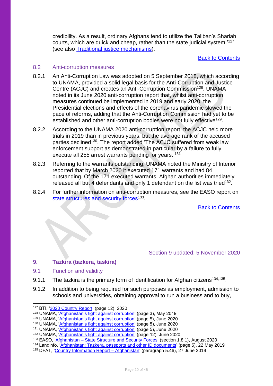credibility. As a result, ordinary Afghans tend to utilize the Taliban's Shariah courts, which are quick and cheap, rather than the state judicial system.' 127 (see also [Traditional justice mechanisms\)](#page-36-0).

#### [Back to Contents](#page-3-0)

#### <span id="page-19-0"></span>8.2 Anti-corruption measures

- 8.2.1 An Anti-Corruption Law was adopted on 5 September 2018, which according to UNAMA, provided a solid legal basis for the Anti-Corruption and Justice Centre (ACJC) and creates an Anti-Corruption Commission<sup>128</sup>. UNAMA noted in its June 2020 anti-corruption report that, whilst anti-corruption measures continued be implemented in 2019 and early 2020, the Presidential elections and effects of the coronavirus pandemic slowed the pace of reforms, adding that the Anti-Corruption Commission had yet to be established and other anti-corruption bodies were not fully effective<sup>129</sup>.
- 8.2.2 According to the UNAMA 2020 anti-corruption report, the ACJC held more trials in 2019 than in previous years, but the average rank of the accused parties declined<sup>130</sup>. The report added 'The ACJC suffered from weak law enforcement support as demonstrated in particular by a failure to fully execute all 255 arrest warrants pending for years.'<sup>131</sup>
- 8.2.3 Referring to the warrants outstanding, UNAMA noted the Ministry of Interior reported that by March 2020 it executed 171 warrants and had 84 outstanding. Of the 171 executed warrants, Afghan authorities immediately released all but 4 defendants and only 1 defendant on the list was tried<sup>132</sup>.
- 8.2.4 For further information on anti-corruption measures, see the EASO report on [state structures and security forces](https://coi.easo.europa.eu/administration/easo/PLib/2020_08_EASO_COI_Report_Afghanistan_state_structure_and_security_forces.pdf)<sup>133</sup>.

[Back to Contents](#page-3-0)

## Section 9 updated: 5 November 2020

## <span id="page-19-1"></span>**9. Tazkira (tazkera, taskira)**

- <span id="page-19-2"></span>9.1 Function and validity
- 9.1.1 The tazkira is the primary form of identification for Afghan citizens<sup>134,135</sup>.
- 9.1.2 In addition to being required for such purposes as employment, admission to schools and universities, obtaining approval to run a business and to buy,

<sup>127</sup> BTI, ['2020 Country Report'](https://www.bti-project.org/content/en/downloads/reports/country_report_2020_AFG.pdf) (page 12), 2020

<sup>128</sup> UNAMA, ['Afghanistan's fight against corruption'](https://unama.unmissions.org/sites/default/files/afghanistan_fight_against_corruption_groundwork_for_peace_and_prosperity-20_may_2019-english.pdf) (page 3), May 2019

<sup>129</sup> UNAMA, ['Afghanistan's fight against corruption'](https://unama.unmissions.org/sites/default/files/afghanistans_fight_against_corruption_crucial_for_peace_and_prosperity_june_2020-english.pdf) (page 5), June 2020

<sup>130</sup> UNAMA, ['Afghanistan's fight against corruption'](https://unama.unmissions.org/sites/default/files/afghanistans_fight_against_corruption_crucial_for_peace_and_prosperity_june_2020-english.pdf) (page 5), June 2020

<sup>131</sup> UNAMA, ['Afghanistan's fight against corruption'](https://unama.unmissions.org/sites/default/files/afghanistans_fight_against_corruption_crucial_for_peace_and_prosperity_june_2020-english.pdf) (page 5), June 2020

<sup>132</sup> UNAMA, ['Afghanistan's fight against corruption'](https://unama.unmissions.org/sites/default/files/afghanistans_fight_against_corruption_crucial_for_peace_and_prosperity_june_2020-english.pdf) (page 12), June 2020

<sup>133</sup> EASO, 'Afghanistan – [State Structure and Security Forces'](https://coi.easo.europa.eu/administration/easo/PLib/2020_08_EASO_COI_Report_Afghanistan_state_structure_and_security_forces.pdf) (section 1.8.1), August 2020

<sup>&</sup>lt;sup>134</sup> Landinfo, ['Afghanistan: Tazkera, passports and other ID documents'](https://landinfo.no/wp-content/uploads/2019/08/Afghanistan-Tazkera-passports-and-other-ID-documents-22052019-final.pdf) (page 5), 22 May 2019

<sup>135</sup> DFAT, ['Country Information Report –](https://www.dfat.gov.au/sites/default/files/country-information-report-afghanistan.pdf) Afghanistan' (paragraph 5.46), 27 June 2019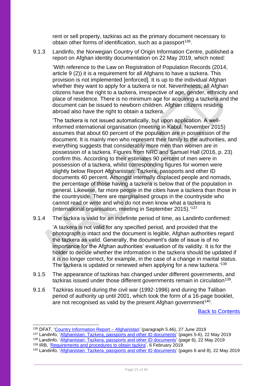rent or sell property, tazkiras act as the primary document necessary to obtain other forms of identification, such as a passport<sup>136</sup>.

9.1.3 Landinfo, the Norwegian Country of Origin Information Centre, published a report on Afghan identity documentation on 22 May 2019, which noted:

'With reference to the Law on Registration of Population Records (2014, article 9 (2)) it is a requirement for all Afghans to have a tazkera. This provision is not implemented [enforced]. It is up to the individual Afghan whether they want to apply for a tazkera or not. Nevertheless, all Afghan citizens have the right to a tazkera, irrespective of age, gender, ethnicity and place of residence. There is no minimum age for acquiring a tazkera and the document can be issued to newborn children. Afghan citizens residing abroad also have the right to obtain a tazkera.

'The tazkera is not issued automatically, but upon application. A wellinformed international organisation (meeting in Kabul, November 2015) assumes that about 60 percent of the population are in possession of the document. It is mainly men who represent their family to the authorities, and everything suggests that considerably more men than women are in possession of a tazkera. Figures from NRC and Samuel Hall (2016, p. 23) confirm this. According to their estimates 90 percent of men were in possession of a tazkera, whilst corresponding figures for women were slightly below Report Afghanistan: Tazkera, passports and other ID documents 40 percent. Amongst internally displaced people and nomads, the percentage of those having a tazkera is below that of the population in general. Likewise, far more people in the cities have a tazkera than those in the countryside. There are marginalised groups in the countryside who cannot read or write and who do not even know what a tazkera is (international organisation, meeting in September 2015).' 137

9.1.4 The tazkira is valid for an indefinite period of time, as Landinfo confirmed:

'A tazkera is not valid for any specified period, and provided that the photograph is intact and the document is legible, Afghan authorities regard the tazkera as valid. Generally, the document's date of issue is of no importance for the Afghan authorities' evaluation of its validity. It is for the holder to decide whether the information in the tazkera should be updated if it is no longer correct, for example, in the case of a change in marital status. The tazkera is updated or renewed when applying for a new tazkera.'<sup>138</sup>

- 9.1.5 The appearance of tazkiras has changed under different governments, and tazkiras issued under those different governments remain in circulation<sup>139</sup>.
- 9.1.6 Tazkiras issued during the civil war (1992-1996) and during the Taliban period of authority up until 2001, which took the form of a 16-page booklet, are not recognised as valid by the present Afghan government<sup>140</sup>.

[Back to Contents](#page-3-0)

<sup>139</sup> IRB, ['Requirements and procedures to obtain tazkira'](https://irb-cisr.gc.ca/en/country-information/rir/Pages/index.aspx?doc=457722), 6 February 2019

<sup>&</sup>lt;sup>136</sup> DFAT, ['Country Information Report –](https://www.dfat.gov.au/sites/default/files/country-information-report-afghanistan.pdf) Afghanistan' (paragraph 5.46), 27 June 2019

<sup>&</sup>lt;sup>137</sup> Landinfo, '<u>Afghanistan: Tazkera, passports and other ID documents</u>' (pages 5-6), 22 May 2019

<sup>138</sup> Landinfo, ['Afghanistan: Tazkera, passports and other ID documents'](https://landinfo.no/wp-content/uploads/2019/08/Afghanistan-Tazkera-passports-and-other-ID-documents-22052019-final.pdf) (page 6), 22 May 2019

<sup>140</sup> Landinfo, ['Afghanistan: Tazkera, passports and other ID documents'](https://landinfo.no/wp-content/uploads/2019/08/Afghanistan-Tazkera-passports-and-other-ID-documents-22052019-final.pdf) (pages 6 and 8), 22 May 2019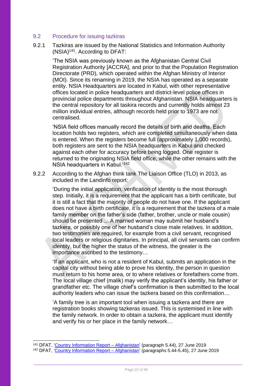#### <span id="page-21-0"></span>9.2 Procedure for issuing tazkiras

9.2.1 Tazkiras are issued by the National Statistics and Information Authority (NSIA) <sup>141</sup>. According to DFAT:

'The NSIA was previously known as the Afghanistan Central Civil Registration Authority [ACCRA], and prior to that the Population Registration Directorate (PRD), which operated within the Afghan Ministry of Interior (MOI). Since its renaming in 2019, the NSIA has operated as a separate entity. NSIA Headquarters are located in Kabul, with other representative offices located in police headquarters and district-level police offices in provincial police departments throughout Afghanistan. NSIA headquarters is the central repository for all taskira records and currently holds almost 23 million individual entries, although records held prior to 1973 are not centralised.

'NSIA field offices manually record the details of birth and deaths. Each location holds two registers, which are completed simultaneously when data is entered. When the registers become full (approximately 1,000 records), both registers are sent to the NSIA headquarters in Kabul and checked against each other for accuracy before being logged. One register is returned to the originating NSIA field office, while the other remains with the NSIA headquarters in Kabul.'<sup>142</sup>

9.2.2 According to the Afghan think tank The Liaison Office (TLO) in 2013, as included in the Landinfo report:

'During the initial application, verification of identity is the most thorough step. Initially, it is a requirement that the applicant has a birth certificate, but it is still a fact that the majority of people do not have one. If the applicant does not have a birth certificate, it is a requirement that the tazkera of a male family member on the father's side (father, brother, uncle or male cousin) should be presented ... A married woman may submit her husband's tazkera, or possibly one of her husband's close male relatives. In addition, two testimonies are required, for example from a civil servant, recognised local leaders or religious dignitaries. In principal, all civil servants can confirm identity, but the higher the status of the witness, the greater is the importance ascribed to the testimony…

'If an applicant, who is not a resident of Kabul, submits an application in the capital city without being able to prove his identity, the person in question must return to his home area, or to where relatives or forefathers come from. The local village chief (malik) may verify the applicant's identity, his father or grandfather etc. The village chief's confirmation is then submitted to the local authority leaders who can issue the tazkera based on this confirmation…

'A family tree is an important tool when issuing a tazkera and there are registration books showing tazkeras issued. This is systemised in line with the family network. In order to obtain a tazkera, the applicant must identify and verify his or her place in the family network…

<sup>&</sup>lt;sup>141</sup> DFAT, ['Country Information Report –](https://www.dfat.gov.au/sites/default/files/country-information-report-afghanistan.pdf) Afghanistan' (paragraph 5.44), 27 June 2019

<sup>&</sup>lt;sup>142</sup> DFAT, ['Country Information Report –](https://www.dfat.gov.au/sites/default/files/country-information-report-afghanistan.pdf) Afghanistan' (paragraphs 5.44-5.45), 27 June 2019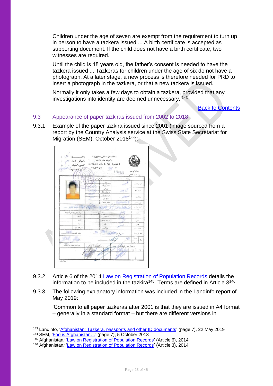Children under the age of seven are exempt from the requirement to turn up in person to have a tazkera issued ... A birth certificate is accepted as supporting document. If the child does not have a birth certificate, two witnesses are required.

Until the child is 18 years old, the father's consent is needed to have the tazkera issued ... Tazkeras for children under the age of six do not have a photograph. At a later stage, a new process is therefore needed for PRD to insert a photograph in the tazkera, or that a new tazkera is issued.

Normally it only takes a few days to obtain a tazkera, provided that any investigations into identity are deemed unnecessary.<sup>'143</sup>

[Back to Contents](#page-3-0)

## <span id="page-22-0"></span>9.3 Appearance of paper tazkiras issued from 2002 to 2018

9.3.1 Example of the paper tazkira issued since 2001 (image sourced from a report by the Country Analysis service at the Swiss State Secretariat for Migration (SEM), October 2018<sup>144</sup>):



- 9.3.2 Article 6 of the 2014 [Law on Registration of Population Records](https://www.refworld.org/docid/544a4c434.html) details the information to be included in the tazkira<sup>145</sup>. Terms are defined in Article  $3^{146}$ .
- 9.3.3 The following explanatory information was included in the Landinfo report of May 2019:

'Common to all paper tazkeras after 2001 is that they are issued in A4 format – generally in a standard format – but there are different versions in

<sup>143</sup> Landinfo, ['Afghanistan: Tazkera, passports and other ID documents'](https://landinfo.no/wp-content/uploads/2019/08/Afghanistan-Tazkera-passports-and-other-ID-documents-22052019-final.pdf) (page 7), 22 May 2019

<sup>144</sup> SEM, ['Focus Afghanistan…'](https://www.sem.admin.ch/dam/sem/de/data/internationales/herkunftslaender/asien-nahost/afg/AFG-tazkira-d.pdf.download.pdf/AFG-tazkira-d.pdf) (page 7), 5 October 2018

<sup>145</sup> Afghanistan*:* ['Law on Registration of Population Records'](https://www.refworld.org/docid/544a4c434.html) (Article 6), 2014

<sup>146</sup> Afghanistan*:* ['Law on Registration of Population Records'](https://www.refworld.org/docid/544a4c434.html) (Article 3), 2014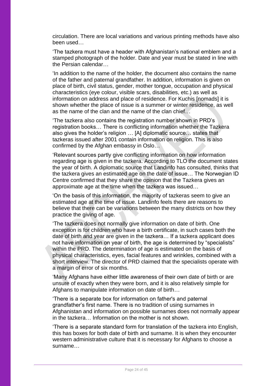circulation. There are local variations and various printing methods have also been used…

'The tazkera must have a header with Afghanistan's national emblem and a stamped photograph of the holder. Date and year must be stated in line with the Persian calendar…

'In addition to the name of the holder, the document also contains the name of the father and paternal grandfather. In addition, information is given on place of birth, civil status, gender, mother tongue, occupation and physical characteristics (eye colour, visible scars, disabilities, etc.) as well as information on address and place of residence. For Kuchis [nomads] it is shown whether the place of issue is a summer or winter residence, as well as the name of the clan and the name of the clan chief…

'The tazkera also contains the registration number shown in PRD's registration books… There is conflicting information whether the Tazkera also gives the holder's religion … [A] diplomatic source… states that tazkeras issued after 2001 contain information on religion. This is also confirmed by the Afghan embassy in Oslo…

'Relevant sources partly give conflicting information on how information regarding age is given in the tazkera. According to TLO the document states the year of birth. A diplomatic source that Landinfo has consulted, thinks that the tazkera gives an estimated age on the date of issue… The Norwegian ID Centre confirmed that they share the opinion that the Tazkera gives an approximate age at the time when the tazkera was issued…

'On the basis of this information, the majority of tazkeras seem to give an estimated age at the time of issue. Landinfo feels there are reasons to believe that there can be variations between the many districts on how they practice the giving of age.

'The tazkera does not normally give information on date of birth. One exception is for children who have a birth certificate, in such cases both the date of birth and year are given in the tazkera… If a tazkera applicant does not have information on year of birth, the age is determined by "specialists" within the PRD. The determination of age is estimated on the basis of physical characteristics, eyes, facial features and wrinkles, combined with a short interview. The director of PRD claimed that the specialists operate with a margin of error of six months.

'Many Afghans have either little awareness of their own date of birth or are unsure of exactly when they were born, and it is also relatively simple for Afghans to manipulate information on date of birth...

'There is a separate box for information on father's and paternal grandfather's first name. There is no tradition of using surnames in Afghanistan and information on possible surnames does not normally appear in the tazkera… Information on the mother is not shown.

'There is a separate standard form for translation of the tazkera into English, this has boxes for both date of birth and surname. It is when they encounter western administrative culture that it is necessary for Afghans to choose a surname…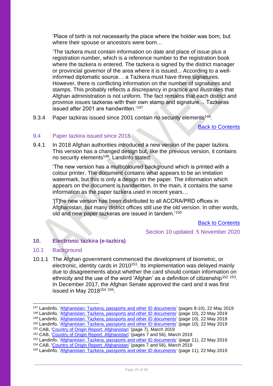'Place of birth is not necessarily the place where the holder was born, but where their spouse or ancestors were born…

'The tazkera must contain information on date and place of issue plus a registration number, which is a reference number to the registration book where the tazkera is entered. The tazkera is signed by the district manager or provincial governor of the area where it is issued... According to a wellinformed diplomatic source… a Tazkera must have three signatures. However, there is conflicting information on the number of signatures and stamps. This probably reflects a discrepancy in practice and illustrates that Afghan administration is not uniform. The fact remains that each district and province issues tazkeras with their own stamp and signature… Tazkeras issued after 2001 are handwritten.'<sup>147</sup>

9.3.4 Paper tazkiras issued since 2001 contain no security elements<sup>148</sup>.

[Back to Contents](#page-3-0)

#### <span id="page-24-0"></span>9.4 Paper tazkira issued since 2018

9.4.1 In 2018 Afghan authorities introduced a new version of the paper tazkira. This version has a changed design but, like the previous version, it contains no security elements<sup>149</sup>. Landinfo stated:

'The new version has a multicoloured background which is printed with a colour printer. The document contains what appears to be an imitation watermark, but this is only a design on the paper. The information which appears on the document is handwritten. In the main, it contains the same information as the paper tazkera used in recent years…

'[T]he new version has been distributed to all ACCRA/PRD offices in Afghanistan, but many district offices still use the old version. In other words, old and new paper tazkeras are issued in tandem.'<sup>150</sup>

[Back to Contents](#page-3-0)

Section 10 updated: 5 November 2020

## <span id="page-24-1"></span>**10. Electronic tazkira (e-tazkira)**

## <span id="page-24-2"></span>10.1 Background

10.1.1 The Afghan government commenced the development of biometric, or electronic, identity cards in 2010<sup>151</sup>. Its implementation was delayed mainly due to disagreements about whether the card should contain information on ethnicity and the use of the word 'Afghan' as a definition of citizenship<sup>152 153</sup>. In December 2017, the Afghan Senate approved the card and it was first issued in May 2018<sup>154 155</sup>.

<sup>147</sup> Landinfo, ['Afghanistan: Tazkera, passports and other ID documents'](https://landinfo.no/wp-content/uploads/2019/08/Afghanistan-Tazkera-passports-and-other-ID-documents-22052019-final.pdf) (pages 8-10), 22 May 2019

<sup>148</sup> Landinfo, ['Afghanistan: Tazkera, passports and other ID documents'](https://landinfo.no/wp-content/uploads/2019/08/Afghanistan-Tazkera-passports-and-other-ID-documents-22052019-final.pdf) (page 10), 22 May 2019

<sup>149</sup> Landinfo, ['Afghanistan: Tazkera, passports and other ID documents'](https://landinfo.no/wp-content/uploads/2019/08/Afghanistan-Tazkera-passports-and-other-ID-documents-22052019-final.pdf) (page 10), 22 May 2019

<sup>150</sup> Landinfo, ['Afghanistan: Tazkera, passports and other ID documents'](https://landinfo.no/wp-content/uploads/2019/08/Afghanistan-Tazkera-passports-and-other-ID-documents-22052019-final.pdf) (page 10), 22 May 2019

<sup>&</sup>lt;sup>151</sup> CAB, ['Country of Origin Report: Afghanistan'](https://www.rijksoverheid.nl/documenten/ambtsberichten/2019/03/01/algemeen-ambtsbericht-afghanistan) (page 7), March 2019

<sup>&</sup>lt;sup>152</sup> CAB, ['Country of Origin Report: Afghanistan'](https://www.rijksoverheid.nl/documenten/ambtsberichten/2019/03/01/algemeen-ambtsbericht-afghanistan) (pages 7 and 56), March 2019

<sup>153</sup> Landinfo, ['Afghanistan: Tazkera, passports and other ID documents'](https://landinfo.no/wp-content/uploads/2019/08/Afghanistan-Tazkera-passports-and-other-ID-documents-22052019-final.pdf) (page 11), 22 May 2019

<sup>154</sup> CAB, ['Country of Origin Report: Afghanistan'](https://www.rijksoverheid.nl/documenten/ambtsberichten/2019/03/01/algemeen-ambtsbericht-afghanistan) (pages 7 and 56), March 2019

<sup>155</sup> Landinfo, ['Afghanistan: Tazkera, passports and other ID documents'](https://landinfo.no/wp-content/uploads/2019/08/Afghanistan-Tazkera-passports-and-other-ID-documents-22052019-final.pdf) (page 11), 22 May 2019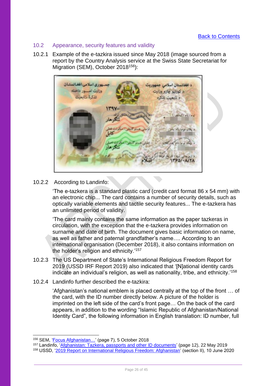## <span id="page-25-0"></span>10.2 Appearance, security features and validity

10.2.1 Example of the e-tazkira issued since May 2018 (image sourced from a report by the Country Analysis service at the Swiss State Secretariat for Migration (SEM), October 2018<sup>156</sup>):



## 10.2.2 According to Landinfo:

'The e-tazkera is a standard plastic card (credit card format 86 x 54 mm) with an electronic chip... The card contains a number of security details, such as optically variable elements and tactile security features... The e-tazkera has an unlimited period of validity.

'The card mainly contains the same information as the paper tazkeras in circulation, with the exception that the e-tazkera provides information on surname and date of birth. The document gives basic information on name, as well as father and paternal grandfather's name…. According to an international organisation (December 2018), it also contains information on the holder's religion and ethnicity.'<sup>157</sup>

- 10.2.3 The US Department of State's International Religious Freedom Report for 2019 (USSD IRF Report 2019) also indicated that '[N]ational identity cards indicate an individual's religion, as well as nationality, tribe, and ethnicity.' 158
- 10.2.4 Landinfo further described the e-tazkira:

'Afghanistan's national emblem is placed centrally at the top of the front … of the card, with the ID number directly below. A picture of the holder is imprinted on the left side of the card's front page… On the back of the card appears, in addition to the wording "Islamic Republic of Afghanistan/National Identity Card", the following information in English translation: ID number, full

<sup>&</sup>lt;sup>156</sup> SEM, 'Focus Afghanistan...' (page 7), 5 October 2018

<sup>&</sup>lt;sup>157</sup> Landinfo, ['Afghanistan: Tazkera, passports and other ID documents'](https://landinfo.no/wp-content/uploads/2019/08/Afghanistan-Tazkera-passports-and-other-ID-documents-22052019-final.pdf) (page 12), 22 May 2019

<sup>158</sup> USSD, ['2019 Report on International Religious Freedom: Afghanistan'](https://www.state.gov/reports/2019-report-on-international-religious-freedom/afghanistan/) (section II), 10 June 2020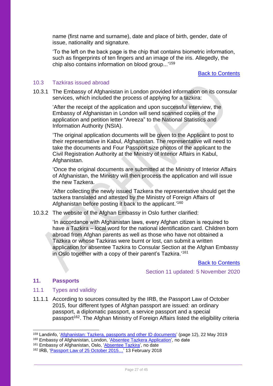name (first name and surname), date and place of birth, gender, date of issue, nationality and signature.

'To the left on the back page is the chip that contains biometric information, such as fingerprints of ten fingers and an image of the iris. Allegedly, the chip also contains information on blood group...'<sup>159</sup>

[Back to Contents](#page-3-0)

#### <span id="page-26-0"></span>10.3 Tazkiras issued abroad

10.3.1 The Embassy of Afghanistan in London provided information on its consular services, which included the process of applying for a tazkira:

'After the receipt of the application and upon successful interview, the Embassy of Afghanistan in London will send scanned copies of the application and petition letter "Areeza" to the National Statistics and Information Authority (NSIA).

'The original application documents will be given to the Applicant to post to their representative in Kabul, Afghanistan. The representative will need to take the documents and Four Passport size photos of the applicant to the Civil Registration Authority at the Ministry of Interior Affairs in Kabul, Afghanistan.

'Once the original documents are submitted at the Ministry of Interior Affairs of Afghanistan, the Ministry will then process the application and will issue the new Tazkera.

'After collecting the newly issued Tazkera the representative should get the tazkera translated and attested by the Ministry of Foreign Affairs of Afghanistan before posting it back to the applicant.'<sup>160</sup>

10.3.2 The website of the Afghan Embassy in Oslo further clarified:

'In accordance with Afghanistan laws, every Afghan citizen is required to have a Tazkira – local word for the national identification card. Children born abroad from Afghan parents as well as those who have not obtained a Tazkira or whose Tazkiras were burnt or lost, can submit a written application for absentee Tazkira to Consular Section at the Afghan Embassy in Oslo together with a copy of their parent's Tazkira.'<sup>161</sup>

**[Back to Contents](#page-3-0)** 

Section 11 updated: 5 November 2020

#### <span id="page-26-1"></span>**11. Passports**

#### <span id="page-26-2"></span>11.1 Types and validity

11.1.1 According to sources consulted by the IRB, the Passport Law of October 2015, four different types of Afghan passport are issued: an ordinary passport, a diplomatic passport, a service passport and a special passport<sup>162</sup>. The Afghan Ministry of Foreign Affairs listed the eligibility criteria

<sup>159</sup> Landinfo, ['Afghanistan: Tazkera, passports and other ID documents'](https://landinfo.no/wp-content/uploads/2019/08/Afghanistan-Tazkera-passports-and-other-ID-documents-22052019-final.pdf) (page 12), 22 May 2019

<sup>160</sup> Embassy of Afghanistan, London, ['Absentee Tazkera Application'](http://afghanistanembassy.org.uk/english/consulate/afghan-national-id-tazkera/), no date

<sup>&</sup>lt;sup>161</sup> Embassy of Afghanistan, Oslo, ['Absentee Tazkira'](https://www.afghanistanembassy.no/consular-services/absentee-tazkira/), no date

<sup>&</sup>lt;sup>162</sup> IRB, 'Passport Law of 25 October 2015...' 13 February 2018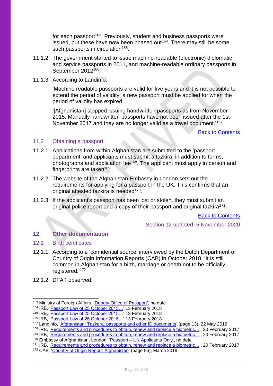for each passport<sup>163</sup>. Previously, student and business passports were issued, but these have now been phased out<sup>164</sup>. There may still be some such passports in circulation<sup>165</sup>.

- 11.1.2 The government started to issue machine-readable (electronic) diplomatic and service passports in 2011, and machine-readable ordinary passports in September 2012<sup>166</sup>.
- 11.1.3 According to Landinfo:

'Machine readable passports are valid for five years and it is not possible to extend the period of validity: a new passport must be applied for when the period of validity has expired.

'[Afghanistan] stopped issuing handwritten passports as from November 2015. Manually handwritten passports have not been issued after the 1st November 2017 and they are no longer valid as a travel document.'<sup>167</sup>

[Back to Contents](#page-3-0)

#### <span id="page-27-0"></span>11.2 Obtaining a passport

- 11.2.1 Applications from within Afghanistan are submitted to the 'passport department' and applicants must submit a tazkira, in addition to forms, photographs and application fee<sup>168</sup>. The applicant must apply in person and fingerprints are taken<sup>169</sup>.
- 11.2.2 The website of the Afghanistan Embassy in London sets out the requirements for applying for a passport in the UK. This confirms that an original attested tazkira is needed<sup>170</sup>.
- 11.2.3 If the applicant's passport has been lost or stolen, they must submit an original police report and a copy of their passport and original tazkira<sup>171</sup>.

[Back to Contents](#page-3-0)

Section 12 updated: 5 November 2020

## <span id="page-27-1"></span>**12. Other documentation**

#### <span id="page-27-2"></span>12.1 Birth certificates

- 12.1.1 According to a 'confidential source' interviewed by the Dutch Department of Country of Origin Information Reports (CAB) in October 2018, 'It is still common in Afghanistan for a birth, marriage or death not to be officially registered.'<sup>172</sup>
- 12.1.2 DFAT observed:

<sup>163</sup> Ministry of Foreign Affairs, ['Deputy Office of Passport',](https://www.econsulate.gov.af/en/passport.html) no date

<sup>164</sup> IRB, 'Passport Law of 25 October 2015...' 13 February 2018

<sup>&</sup>lt;sup>165</sup> IRB, 'Passport Law of 25 October 2015...' 13 February 2018

<sup>&</sup>lt;sup>166</sup> IRB, 'Passport Law of 25 October 2015...' 13 February 2018

<sup>167</sup> Landinfo, ['Afghanistan: Tazkera, passports and other ID documents'](https://landinfo.no/wp-content/uploads/2019/08/Afghanistan-Tazkera-passports-and-other-ID-documents-22052019-final.pdf) (page 13), 22 May 2019

<sup>168</sup> IRB, ['Requirements and procedures to obtain, renew](https://irb-cisr.gc.ca/en/country-information/rir/Pages/index.aspx?doc=456927) and replace a biometric...', 20 February 2017

<sup>169</sup> IRB, ['Requirements and procedures to obtain, renew](https://irb-cisr.gc.ca/en/country-information/rir/Pages/index.aspx?doc=456927) and replace a biometric...', 20 February 2017

<sup>&</sup>lt;sup>170</sup> Embassy of Afghanistan, London, 'Passport – [UK Applicants Only'](http://afghanistanembassy.org.uk/english/consulate/passport-section/apply-for-passport/), no date

<sup>171</sup> IRB, ['Requirements and procedures to obtain, renew](https://irb-cisr.gc.ca/en/country-information/rir/Pages/index.aspx?doc=456927) and replace a biometric...', 20 February 2017 <sup>172</sup> CAB, ['Country of Origin Report: Afghanistan'](https://www.rijksoverheid.nl/documenten/ambtsberichten/2019/03/01/algemeen-ambtsbericht-afghanistan) (page 56), March 2019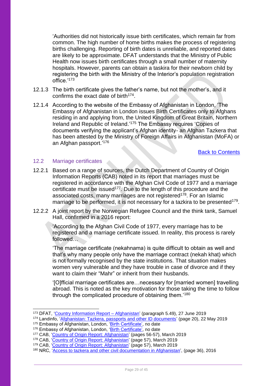'Authorities did not historically issue birth certificates, which remain far from common. The high number of home births makes the process of registering births challenging. Reporting of birth dates is unreliable, and reported dates are likely to be approximate. DFAT understands that the Ministry of Public Health now issues birth certificates through a small number of maternity hospitals. However, parents can obtain a taskira for their newborn child by registering the birth with the Ministry of the Interior's population registration office.'<sup>173</sup>

- 12.1.3 The birth certificate gives the father's name, but not the mother's, and it confirms the exact date of birth<sup>174</sup>.
- 12.1.4 According to the website of the Embassy of Afghanistan in London, 'The Embassy of Afghanistan in London issues Birth Certificates only to Afghans residing in and applying from, the United Kingdom of Great Britain, Northern Ireland and Republic of Ireland.'<sup>175</sup> The Embassy requires 'Copies of documents verifying the applicant's Afghan identity- an Afghan Tazkera that has been attested by the Ministry of Foreign Affairs in Afghanistan (MoFA) or an Afghan passport.' 176

[Back to Contents](#page-3-0)

#### <span id="page-28-0"></span>12.2 Marriage certificates

- 12.2.1 Based on a range of sources, the Dutch Department of Country of Origin Information Reports (CAB) noted in its report that marriages must be registered in accordance with the Afghan Civil Code of 1977 and a marriage certificate must be issued<sup>177</sup>. Due to the length of this procedure and the associated costs, many marriages are not registered<sup>178</sup>. For an Islamic marriage to be performed, it is not necessary for a tazkira to be presented<sup>179</sup>.
- 12.2.2 A joint report by the Norwegian Refugee Council and the think tank, Samuel Hall, confirmed in a 2016 report:

'According to the Afghan Civil Code of 1977, every marriage has to be registered and a marriage certificate issued. In reality, this process is rarely followed…

'The marriage certificate (nekahnama) is quite difficult to obtain as well and that's why many people only have the marriage contract (nekah khat) which is not formally recognised by the state institutions. That situation makes women very vulnerable and they have trouble in case of divorce and if they want to claim their "Mahr" or inherit from their husbands.

'[O]fficial marriage certificates are…necessary for [married women] travelling abroad. This is noted as the key motivation for those taking the time to follow through the complicated procedure of obtaining them.<sup>'180</sup>

<sup>173</sup> DFAT, ['Country Information Report –](https://www.dfat.gov.au/sites/default/files/country-information-report-afghanistan.pdf) Afghanistan' (paragraph 5.49), 27 June 2019

<sup>174</sup> Landinfo, ['Afghanistan: Tazkera, passports and other ID documents'](https://landinfo.no/wp-content/uploads/2019/08/Afghanistan-Tazkera-passports-and-other-ID-documents-22052019-final.pdf) (page 20), 22 May 2019

<sup>&</sup>lt;sup>175</sup> Embassy of Afghanistan, London, '<u>Birth Certificate',</u> no date

<sup>&</sup>lt;sup>176</sup> Embassy of Afghanistan, London, ['Birth Certificate',](http://afghanistanembassy.org.uk/english/consulate/birth-certificate/) no date

<sup>177</sup> CAB, ['Country of Origin Report: Afghanistan'](https://www.rijksoverheid.nl/documenten/ambtsberichten/2019/03/01/algemeen-ambtsbericht-afghanistan) (pages 56-57), March 2019

<sup>178</sup> CAB, ['Country of Origin Report: Afghanistan'](https://www.rijksoverheid.nl/documenten/ambtsberichten/2019/03/01/algemeen-ambtsbericht-afghanistan) (page 57), March 2019

<sup>179</sup> CAB, ['Country of Origin Report: Afghanistan'](https://www.rijksoverheid.nl/documenten/ambtsberichten/2019/03/01/algemeen-ambtsbericht-afghanistan) (page 57), March 2019

<sup>180</sup> NRC, ['Access to tazkera and other civil documentation in Afghanistan'](https://www.nrc.no/globalassets/pdf/reports/af_civil-documentation-study_081116.pdf), (page 36), 2016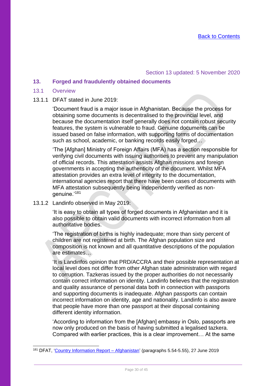### Section 13 updated: 5 November 2020

## <span id="page-29-0"></span>**13. Forged and fraudulently obtained documents**

#### <span id="page-29-1"></span>13.1 Overview

#### 13.1.1 DFAT stated in June 2019:

'Document fraud is a major issue in Afghanistan. Because the process for obtaining some documents is decentralised to the provincial level, and because the documentation itself generally does not contain robust security features, the system is vulnerable to fraud. Genuine documents can be issued based on false information, with supporting forms of documentation such as school, academic, or banking records easily forged…

'The [Afghan] Ministry of Foreign Affairs (MFA) has a section responsible for verifying civil documents with issuing authorities to prevent any manipulation of official records. This attestation assists Afghan missions and foreign governments in accepting the authenticity of the document. Whilst MFA attestation provides an extra level of integrity to the documentation, international agencies report that there have been cases of documents with MFA attestation subsequently being independently verified as nongenuine.'<sup>181</sup>

#### 13.1.2 Landinfo observed in May 2019:

'It is easy to obtain all types of forged documents in Afghanistan and it is also possible to obtain valid documents with incorrect information from all authoritative bodies.

'The registration of births is highly inadequate; more than sixty percent of children are not registered at birth. The Afghan population size and composition is not known and all quantitative descriptions of the population are estimates…

'It is Landinfos opinion that PRD/ACCRA and their possible representation at local level does not differ from other Afghan state administration with regard to corruption. Tazkeras issued by the proper authorities do not necessarily contain correct information on identity. Landinfo believes that the registration and quality assurance of personal data both in connection with passports and supporting documents is inadequate. Afghan passports can contain incorrect information on identity, age and nationality. Landinfo is also aware that people have more than one passport at their disposal containing different identity information.

'According to information from the [Afghan] embassy in Oslo, passports are now only produced on the basis of having submitted a legalised tazkera. Compared with earlier practices, this is a clear improvement… At the same

<sup>181</sup> DFAT, ['Country Information Report –](https://www.dfat.gov.au/sites/default/files/country-information-report-afghanistan.pdf) Afghanistan' (paragraphs 5.54-5.55), 27 June 2019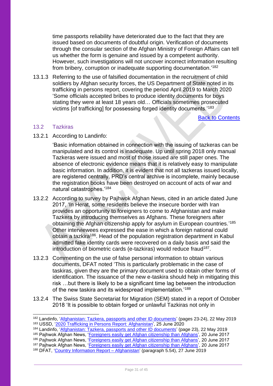time passports reliability have deteriorated due to the fact that they are issued based on documents of doubtful origin. Verification of documents through the consular section of the Afghan Ministry of Foreign Affairs can tell us whether the form is genuine and issued by a competent authority. However, such investigations will not uncover incorrect information resulting from bribery, corruption or inadequate supporting documentation.'<sup>182</sup>

13.1.3 Referring to the use of falsified documentation in the recruitment of child soldiers by Afghan security forces, the US Department of State noted in its trafficking in persons report, covering the period April 2019 to March 2020 'Some officials accepted bribes to produce identity documents for boys stating they were at least 18 years old… Officials sometimes prosecuted victims [of trafficking] for possessing forged identity documents.'<sup>183</sup>

[Back to Contents](#page-3-0)

#### <span id="page-30-0"></span>13.2 Tazkiras

13.2.1 According to Landinfo:

'Basic information obtained in connection with the issuing of tazkeras can be manipulated and its control is inadequate. Up until spring 2018 only manual Tazkeras were issued and most of those issued are still paper ones. The absence of electronic evidence means that it is relatively easy to manipulate basic information. In addition, it is evident that not all tazkeras issued locally, are registered centrally. PRD's central archive is incomplete, mainly because the registration books have been destroyed on account of acts of war and natural catastrophes.'<sup>184</sup>

- 13.2.2 According to survey by Pajhwok Afghan News, cited in an article dated June 2017, 'In Herat, some residents believe the insecure border with Iran provides an opportunity to foreigners to come to Afghanistan and make Tazkera by introducing themselves as Afghans. These foreigners after obtaining the Afghan citizenship apply for asylum in European countries.'<sup>185</sup> Other interviewees expressed the ease in which a foreign national could obtain a tazkira<sup>186</sup>. Head of the population registration department in Kabul admitted fake identity cards were recovered on a daily basis and said the introduction of biometric cards (e-tazkiras) would reduce fraud<sup>187</sup>.
- 13.2.3 Commenting on the use of false personal information to obtain various documents, DFAT noted 'This is particularly problematic in the case of taskiras, given they are the primary document used to obtain other forms of identification. The issuance of the new e-taskira should help in mitigating this risk …but there is likely to be a significant time lag between the introduction of the new taskira and its widespread implementation.'<sup>188</sup>
- 13.2.4 The Swiss State Secretariat for Migration (SEM) stated in a report of October 2018 'It is possible to obtain forged or unlawful Tazkiras not only in

<sup>187</sup> Pajhwok Afghan News, ['Foreigners easily get Afghan citizenship than Afghans'](https://www.pajhwok.com/en/2017/06/20/foreigners-easily-get-afghan-citizenship-afghans), 20 June 2017

<sup>182</sup> Landinfo, ['Afghanistan: Tazkera, passports and other ID documents'](https://landinfo.no/wp-content/uploads/2019/08/Afghanistan-Tazkera-passports-and-other-ID-documents-22052019-final.pdf) (pages 23-24), 22 May 2019 <sup>183</sup> USSD, ['2020 Trafficking in Persons Report: Afghanistan',](https://www.state.gov/reports/2020-trafficking-in-persons-report/afghanistan/) 25 June 2020

<sup>&</sup>lt;sup>184</sup> Landinfo, ['Afghanistan: Tazkera, passports and other ID documents'](https://landinfo.no/wp-content/uploads/2019/08/Afghanistan-Tazkera-passports-and-other-ID-documents-22052019-final.pdf) (page 23), 22 May 2019

<sup>&</sup>lt;sup>185</sup> Pajhwok Afghan News, '<u>Foreigners easily get Afghan citizenship than Afghans</u>', 20 June 2017

<sup>&</sup>lt;sup>186</sup> Pajhwok Afghan News, '<u>Foreigners easily get Afghan citizenship than Afghans</u>', 20 June 2017

<sup>188</sup> DFAT, ['Country Information Report –](https://www.dfat.gov.au/sites/default/files/country-information-report-afghanistan.pdf) Afghanistan' (paragraph 5.54), 27 June 2019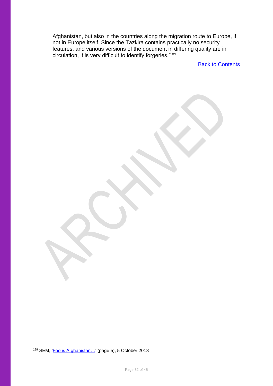Afghanistan, but also in the countries along the migration route to Europe, if not in Europe itself. Since the Tazkira contains practically no security features, and various versions of the document in differing quality are in circulation, it is very difficult to identify forgeries.'<sup>189</sup>

**[Back to Contents](#page-3-0)** 

<sup>189</sup> SEM, ['Focus Afghanistan…'](https://www.sem.admin.ch/dam/sem/de/data/internationales/herkunftslaender/asien-nahost/afg/AFG-tazkira-d.pdf.download.pdf/AFG-tazkira-d.pdf) (page 5), 5 October 2018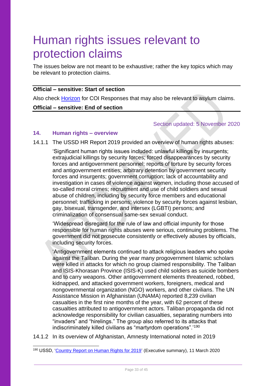# <span id="page-32-0"></span>Human rights issues relevant to protection claims

The issues below are not meant to be exhaustive; rather the key topics which may be relevant to protection claims.

#### **Official – sensitive: Start of section**

Also check [Horizon](https://horizon.homeoffice.gov.uk/section/immigration-borders-and-nationality-guidance/guidance-theme/country-policy-and-information/afghanistan/country-origin-information-coi-responses) for COI Responses that may also be relevant to asylum claims.

#### **Official – sensitive: End of section**

#### Section updated: 5 November 2020

## <span id="page-32-1"></span>**14. Human rights – overview**

14.1.1 The USSD HR Report 2019 provided an overview of human rights abuses:

'Significant human rights issues included: unlawful killings by insurgents; extrajudicial killings by security forces; forced disappearances by security forces and antigovernment personnel; reports of torture by security forces and antigovernment entities; arbitrary detention by government security forces and insurgents; government corruption; lack of accountability and investigation in cases of violence against women, including those accused of so-called moral crimes; recruitment and use of child soldiers and sexual abuse of children, including by security force members and educational personnel; trafficking in persons; violence by security forces against lesbian, gay, bisexual, transgender, and intersex (LGBTI) persons; and criminalization of consensual same-sex sexual conduct.

'Widespread disregard for the rule of law and official impunity for those responsible for human rights abuses were serious, continuing problems. The government did not prosecute consistently or effectively abuses by officials, including security forces.

'Antigovernment elements continued to attack religious leaders who spoke against the Taliban. During the year many progovernment Islamic scholars were killed in attacks for which no group claimed responsibility. The Taliban and ISIS-Khorasan Province (ISIS-K) used child soldiers as suicide bombers and to carry weapons. Other antigovernment elements threatened, robbed, kidnapped, and attacked government workers, foreigners, medical and nongovernmental organization (NGO) workers, and other civilians. The UN Assistance Mission in Afghanistan (UNAMA) reported 8,239 civilian casualties in the first nine months of the year, with 62 percent of these casualties attributed to antigovernment actors. Taliban propaganda did not acknowledge responsibility for civilian casualties, separating numbers into "invaders" and "hirelings." The group also referred to its attacks that indiscriminately killed civilians as "martyrdom operations".'<sup>190</sup>

14.1.2 In its overview of Afghanistan, Amnesty International noted in 2019

<sup>190</sup> USSD, ['Country Report on Human Rights for 2019'](https://www.state.gov/reports/2019-country-reports-on-human-rights-practices/afghanistan/) (Executive summary), 11 March 2020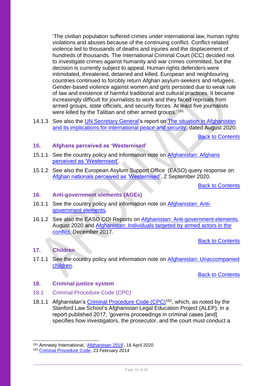'The civilian population suffered crimes under international law, human rights violations and abuses because of the continuing conflict. Conflict-related violence led to thousands of deaths and injuries and the displacement of hundreds of thousands. The International Criminal Court (ICC) decided not to investigate crimes against humanity and war crimes committed, but the decision is currently subject to appeal. Human rights defenders were intimidated, threatened, detained and killed. European and neighbouring countries continued to forcibly return Afghan asylum-seekers and refugees. Gender-based violence against women and girls persisted due to weak rule of law and existence of harmful traditional and cultural practices. It became increasingly difficult for journalists to work and they faced reprisals from armed groups, state officials, and security forces. At least five journalists were killed by the Taliban and other armed groups.'<sup>191</sup>

14.1.3 See also the [UN Secretary General'](https://www.un.org/securitycouncil/content/reports-secretary-general)s report on [The situation in Afghanistan](https://www.securitycouncilreport.org/atf/cf/%7B65BFCF9B-6D27-4E9C-8CD3-CF6E4FF96FF9%7D/s_2020_809_e.pdf)  [and its implications for international peace and security,](https://www.securitycouncilreport.org/atf/cf/%7B65BFCF9B-6D27-4E9C-8CD3-CF6E4FF96FF9%7D/s_2020_809_e.pdf) dated August 2020.

[Back to Contents](#page-3-0)

## <span id="page-33-0"></span>**15. Afghans perceived as 'Westernised'**

- 15.1.1 See the country policy and information note on [Afghanistan: Afghans](https://www.gov.uk/government/publications/afghanistan-country-policy-and-information-notes)  [perceived as 'Westernised'.](https://www.gov.uk/government/publications/afghanistan-country-policy-and-information-notes)
- 15.1.2 See also the European Asylum Support Office (EASO) query response on [Afghan nationals perceived as 'Westernised',](https://www.ecoi.net/en/file/local/2036956/2020_09_Q19_EASO_COI_Query_Response_AFG_Westernisation.pdf) 2 September 2020.

**[Back to Contents](#page-3-0)** 

## <span id="page-33-1"></span>**16. Anti-government elements (AGEs)**

- 16.1.1 See the country policy and information note on [Afghanistan: Anti](https://www.gov.uk/government/publications/afghanistan-country-policy-and-information-notes)[government elements.](https://www.gov.uk/government/publications/afghanistan-country-policy-and-information-notes)
- 16.1.2 See also the EASO COI Reports on [Afghanistan: Anti-government elements,](https://coi.easo.europa.eu/administration/easo/PLib/2020_08_EASO_COI_Report_Afghanistan_Anti_Governement_Elements_AGEs.pdf) August 2020 and [Afghanistan: Individuals targeted by armed actors in the](https://coi.easo.europa.eu/administration/easo/PLib/Afghanistan_targeting_conflict.pdf)  [conflict,](https://coi.easo.europa.eu/administration/easo/PLib/Afghanistan_targeting_conflict.pdf) December 2017.

[Back to Contents](#page-3-0)

#### <span id="page-33-2"></span>**17. Children**

17.1.1 See the country policy and information note on Afghanistan: Unaccompanied [children.](https://www.gov.uk/government/publications/afghanistan-country-policy-and-information-notes)

[Back to Contents](#page-3-0)

#### <span id="page-33-3"></span>**18. Criminal justice system**

- <span id="page-33-4"></span>18.1 Criminal Procedure Code (CPC)
- 18.1.1 Afghanistan's [Criminal Procedure](https://www.unodc.org/res/cld/document/criminal-procedure-code_html/Criminal_Procedure_Code_-_Endorsed_by_President_EN_2014_03_14_with_TOC.pdf) Code (CPC)<sup>192</sup>, which, as noted by the Stanford Law School's Afghanistan Legal Education Project (ALEP), in a report published 2017, 'governs proceedings in criminal cases [and] specifies how investigators, the prosecutor, and the court must conduct a

<sup>191</sup> Amnesty International, ['Afghanistan 2019'](https://www.amnesty.org/en/countries/asia-and-the-pacific/afghanistan/report-afghanistan/), 16 April 2020

<sup>192</sup> [Criminal Procedure Code,](https://www.unodc.org/res/cld/document/criminal-procedure-code_html/Criminal_Procedure_Code_-_Endorsed_by_President_EN_2014_03_14_with_TOC.pdf) 23 February 2014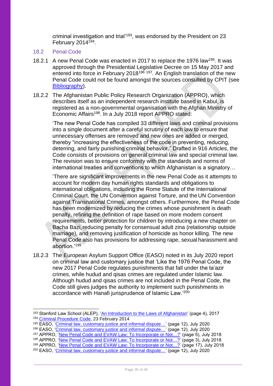criminal investigation and trial'<sup>193</sup>, was endorsed by the President on 23 February 2014<sup>194</sup>.

- <span id="page-34-0"></span>18.2 Penal Code
- 18.2.1 A new Penal Code was enacted in 2017 to replace the 1976 law<sup>195</sup>. It was approved through the Presidential Legislative Decree on 15 May 2017 and entered into force in February 2018<sup>196 197</sup>. An English translation of the new Penal Code could not be found amongst the sources consulted by CPIT (see [Bibliography\)](#page-39-0).
- 18.2.2 The Afghanistan Public Policy Research Organization (APPRO), which describes itself as an independent research institute based in Kabul, is registered as a non-governmental organisation with the Afghan Ministry of Economic Affairs<sup>198</sup>. In a July 2018 report APPRO stated:

'The new Penal Code has compiled 33 different laws and criminal provisions into a single document after a careful scrutiny of each law to ensure that unnecessary offenses are removed and new ones are added or merged, thereby "increasing the effectiveness of the code in preventing, reducing, deterring, and fairly punishing criminal behavior." Drafted in 916 Articles, the Code consists of provisions on general criminal law and special criminal law. The revision was to ensure conformity with the standards and norms of international treaties and conventions to which Afghanistan is a signatory…

'There are significant improvements in the new Penal Code as it attempts to account for modern day human rights standards and obligations to international obligations, including the Rome Statute of the International Criminal Court, the UN Convention against Torture, and the UN Convention against Transnational Crimes, amongst others. Furthermore, the Penal Code has been modernized by reducing the crimes whose punishment is death penalty, refining the definition of rape based on more modern consent requirements, better protection for children by introducing a new chapter on Bacha Bazi,reducing penalty for consensual adult zina (relationship outside marriage), and removing justification of homicide as honor killing. The new Penal Code also has provisions for addressing rape, sexual harassment and abortion.'<sup>199</sup>

18.2.3 The European Asylum Support Office (EASO) noted in its July 2020 report on criminal law and customary justice that 'Like the 1976 Penal Code, the new 2017 Penal Code regulates punishments that fall under the ta'azir crimes, while hudud and qisas crimes are regulated under Islamic law. Although hudud and qisas crimes are not included in the Penal Code, the Code still gives judges the authority to implement such punishments in accordance with Hanafi jurisprudence of Islamic Law.'<sup>200</sup>

<sup>193</sup> Stanford Law School (ALEP), 'An Introduction [to the Laws of Afghanistan'](https://www-cdn.law.stanford.edu/wp-content/uploads/2017/11/ALEP-Intoduction-to-Law-of-AFG_4th-Ed_ENGLISH.pdf) (page 4), 2017 <sup>194</sup> [Criminal Procedure Code,](https://www.unodc.org/res/cld/document/criminal-procedure-code_html/Criminal_Procedure_Code_-_Endorsed_by_President_EN_2014_03_14_with_TOC.pdf) 23 February 2014

<sup>195</sup> EASO, 'Criminal law, customary justice and informal dispute...' (page 12), July 2020

<sup>&</sup>lt;sup>196</sup> EASO, 'Criminal law, customary justice and informal dispute...' (page 12), July 2020

<sup>197</sup> APPRO, 'New Penal Code and EVAW Law: To Incorporate or Not...?' (page 5), July 2018

<sup>198</sup> APPRO, 'New Penal Code and EVAW Law: To Incorporate or Not...?' (page 3), July 2018

<sup>199</sup> APPRO, 'New Penal Code and EVAW Law: To Incorporate or Not...?' (page 17), July 2018

<sup>200</sup> EASO, ['Criminal law, customary justice and informal dispute…'](https://coi.easo.europa.eu/administration/easo/PLib/2020_07_EASO_COI_Report_Afghanistan_Criminal_Law_Customary_Justice_Dispute_Resolutions.pdf) (page 12), July 2020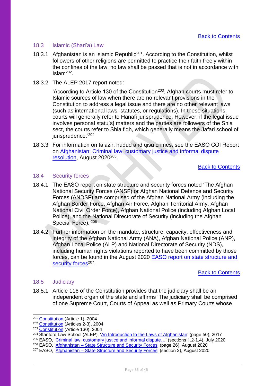### <span id="page-35-0"></span>18.3 Islamic (Shari'a) Law

- 18.3.1 Afghanistan is an Islamic Republic<sup>201</sup>. According to the Constitution, whilst followers of other religions are permitted to practice their faith freely within the confines of the law, no law shall be passed that is not in accordance with Islam<sup>202</sup> .
- 18.3.2 The ALEP 2017 report noted:

'According to Article 130 of the Constitution<sup>203</sup>, Afghan courts must refer to Islamic sources of law when there are no relevant provisions in the Constitution to address a legal issue and there are no other relevant laws (such as international laws, statutes, or regulations). In these situations, courts will generally refer to Hanafi jurisprudence. However, if the legal issue involves personal statuls] matters and the parties are followers of the Shia sect, the courts refer to Shia figh, which generally means the Jafari school of jurisprudence.'204

18.3.3 For information on ta'azir, hudud and qisa crimes, see the EASO COI Report on [Afghanistan: Criminal law, customary justice and informal dispute](https://coi.easo.europa.eu/administration/easo/PLib/2020_07_EASO_COI_Report_Afghanistan_Criminal_Law_Customary_Justice_Dispute_Resolutions.pdf)  [resolution,](https://coi.easo.europa.eu/administration/easo/PLib/2020_07_EASO_COI_Report_Afghanistan_Criminal_Law_Customary_Justice_Dispute_Resolutions.pdf) August 2020<sup>205</sup>.

[Back to Contents](#page-3-0)

## <span id="page-35-1"></span>18.4 Security forces

- 18.4.1 The EASO report on state structure and security forces noted 'The Afghan National Security Forces (ANSF) or Afghan National Defence and Security Forces (ANDSF) are comprised of the Afghan National Army (including the Afghan Border Force, Afghan Air Force, Afghan Territorial Army, Afghan National Civil Order Force), Afghan National Police (including Afghan Local Police), and the National Directorate of Security (including the Afghan Special Force).<sup>'206</sup>
- 18.4.2 Further information on the mandate, structure, capacity, effectiveness and integrity of the Afghan National Army (ANA), Afghan National Police (ANP), Afghan Local Police (ALP) and National Directorate of Security (NDS), including human rights violations reported to have been committed by those forces, can be found in the August 2020 [EASO report on state structure and](https://coi.easo.europa.eu/administration/easo/PLib/2020_08_EASO_COI_Report_Afghanistan_state_structure_and_security_forces.pdf)  [security forces](https://coi.easo.europa.eu/administration/easo/PLib/2020_08_EASO_COI_Report_Afghanistan_state_structure_and_security_forces.pdf)<sup>207</sup>.

[Back to Contents](#page-3-0)

#### <span id="page-35-2"></span>18.5 Judiciary

18.5.1 Article 116 of the Constitution provides that the judiciary shall be an independent organ of the state and affirms 'The judiciary shall be comprised of one Supreme Court, Courts of Appeal as well as Primary Courts whose

- <sup>205</sup> EASO, ['Criminal law, customary justice and informal dispute…'](https://coi.easo.europa.eu/administration/easo/PLib/2020_07_EASO_COI_Report_Afghanistan_Criminal_Law_Customary_Justice_Dispute_Resolutions.pdf) (sections 1.2-1.4), July 2020
- <sup>206</sup> EASO, 'Afghanistan [State Structure and Security Forces'](https://coi.easo.europa.eu/administration/easo/PLib/2020_08_EASO_COI_Report_Afghanistan_state_structure_and_security_forces.pdf) (page 26), August 2020

<sup>201</sup> [Constitution](https://www.constituteproject.org/constitution/Afghanistan_2004.pdf?lang=en) (Article 1), 2004

<sup>202</sup> [Constitution](https://www.constituteproject.org/constitution/Afghanistan_2004.pdf?lang=en) (Articles 2-3), 2004

<sup>203</sup> [Constitution](https://www.constituteproject.org/constitution/Afghanistan_2004.pdf?lang=en) (Article 130), 2004

<sup>&</sup>lt;sup>204</sup> Stanford Law School (ALEP), ['An Introduction to the Laws of Afghanistan'](https://www-cdn.law.stanford.edu/wp-content/uploads/2017/11/ALEP-Intoduction-to-Law-of-AFG_4th-Ed_ENGLISH.pdf) (page 50), 2017

<sup>&</sup>lt;sup>207</sup> EASO, '<u>Afghanistan – State Structure and Security Forces</u>' (section 2), August 2020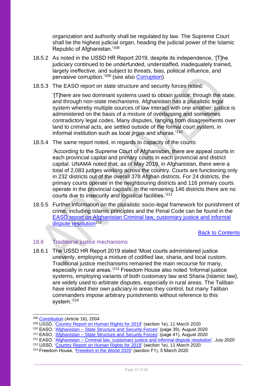organization and authority shall be regulated by law. The Supreme Court shall be the highest judicial organ, heading the judicial power of the Islamic Republic of Afghanistan.'<sup>208</sup>

- 18.5.2 As noted in the USSD HR Report 2019, despite its independence, 'IT The judiciary continued to be underfunded, understaffed, inadequately trained, largely ineffective, and subject to threats, bias, political influence, and pervasive corruption.'<sup>209</sup> (see also [Corruption\)](#page-18-0).
- 18.5.3 The EASO report on state structure and security forces noted:

'[T]here are two dominant systems used to obtain justice: through the state, and through non-state mechanisms. Afghanistan has a pluralistic legal system whereby multiple sources of law interact with one another; iustice is administered on the basis of a mixture of overlapping and sometimes contradictory legal codes. Many disputes, ranging from disagreements over land to criminal acts, are settled outside of the formal court system, in informal institution such as local jirgas and shuras.'<sup>210</sup>

18.5.4 The same report noted, in regards to capacity of the courts:

'According to the Supreme Court of Afghanistan, there are appeal courts in each provincial capital and primary courts in each provincial and district capital. UNAMA noted that, as of May 2019, in Afghanistan, there were a total of 2,083 judges working across the country. Courts are functioning only in 232 districts out of the overall 378 Afghan districts. For 24 districts, the primary courts operate in the neighbouring districts and 116 primary courts operate in the provincial capitals. In the remaining 146 districts there are no courts due to insecurity and logistical facilities.'<sup>211</sup>

18.5.5 Further information on the pluralistic socio-legal framework for punishment of crime, including Islamic principles and the Penal Code can be found in the [EASO report on Afghanistan Criminal law, customary justice and informal](https://coi.easo.europa.eu/administration/easo/PLib/2020_07_EASO_COI_Report_Afghanistan_Criminal_Law_Customary_Justice_Dispute_Resolutions.pdf)  [dispute resolution](https://coi.easo.europa.eu/administration/easo/PLib/2020_07_EASO_COI_Report_Afghanistan_Criminal_Law_Customary_Justice_Dispute_Resolutions.pdf)<sup>212</sup>.

[Back to Contents](#page-3-0)

## <span id="page-36-0"></span>18.6 Traditional justice mechanisms

18.6.1 The USSD HR Report 2019 stated 'Most courts administered justice unevenly, employing a mixture of codified law, sharia, and local custom. Traditional justice mechanisms remained the main recourse for many, especially in rural areas.'<sup>213</sup> Freedom House also noted 'Informal justice systems, employing variants of both customary law and Sharia (Islamic law), are widely used to arbitrate disputes, especially in rural areas. The Taliban have installed their own judiciary in areas they control, but many Taliban commanders impose arbitrary punishments without reference to this system.'<sup>214</sup>

<sup>208</sup> [Constitution](https://www.constituteproject.org/constitution/Afghanistan_2004.pdf?lang=en) (Article 16), 2004

<sup>&</sup>lt;sup>209</sup> USSD, '<u>Country Report on Human Rights for 2019</u>' (section 1e), 11 March 2020

<sup>&</sup>lt;sup>210</sup> EASO, 'Afghanistan – [State Structure and Security Forces'](https://coi.easo.europa.eu/administration/easo/PLib/2020_08_EASO_COI_Report_Afghanistan_state_structure_and_security_forces.pdf) (page 39), August 2020

<sup>&</sup>lt;sup>211</sup> EASO, '<u>Afghanistan – State Structure and Security Forces</u>' (page 41), August 2020

<sup>&</sup>lt;sup>212</sup> EASO, 'Afghanistan – [Criminal law, customary justice and informal dispute](https://coi.easo.europa.eu/administration/easo/PLib/2020_07_EASO_COI_Report_Afghanistan_Criminal_Law_Customary_Justice_Dispute_Resolutions.pdf) resolution', July 2020

<sup>&</sup>lt;sup>213</sup> USSD, ['Country Report on Human Rights for 2019'](https://www.state.gov/reports/2019-country-reports-on-human-rights-practices/afghanistan/) (section 1e), 11 March 2020

<sup>&</sup>lt;sup>214</sup> Freedom House, '<u>Freedom in the World 2020</u>' (section F1), 5 March 2020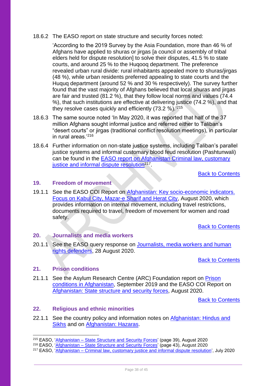#### 18.6.2 The EASO report on state structure and security forces noted:

'According to the 2019 Survey by the Asia Foundation, more than 46 % of Afghans have applied to shuras or jirgas [a council or assembly of tribal elders held for dispute resolution] to solve their disputes, 41.5 % to state courts, and around 25 % to the Huqooq department. The preference revealed urban rural divide: rural inhabitants appealed more to shuras/jirgas (48 %), while urban residents preferred appealing to state courts and the Huquq department (around 52 % and 30 % respectively). The survey further found that the vast majority of Afghans believed that local shuras and jirgas are fair and trusted (81.2 %), that they follow local norms and values (74.4 %), that such institutions are effective at delivering justice (74.2 %), and that they resolve cases quickly and efficiently (73.2 %).'<sup>215</sup>

- 18.6.3 The same source noted 'In May 2020, it was reported that half of the 37 million Afghans sought informal justice and referred either to Taliban's "desert courts" or jirgas (traditional conflict resolution meetings), in particular in rural areas $1216$
- 18.6.4 Further information on non-state justice systems, including Taliban's parallel justice systems and informal customary blood feud resolution (Pashtunwali) can be found in the [EASO report on Afghanistan Criminal law, customary](https://coi.easo.europa.eu/administration/easo/PLib/2020_07_EASO_COI_Report_Afghanistan_Criminal_Law_Customary_Justice_Dispute_Resolutions.pdf)  [justice and informal dispute resolution](https://coi.easo.europa.eu/administration/easo/PLib/2020_07_EASO_COI_Report_Afghanistan_Criminal_Law_Customary_Justice_Dispute_Resolutions.pdf)<sup>217</sup>.

[Back to Contents](#page-3-0)

#### <span id="page-37-0"></span>**19. Freedom of movement**

19.1.1 See the EASO COI Report on [Afghanistan: Key socio-economic indicators.](https://coi.easo.europa.eu/administration/easo/PLib/2020_08_EASO_COI_Report_Afghanistan_Key_Socio_Economic_Indicators_Forcus_Kabul_Citry_Mazar_Sharif_Herat_City.pdf)  [Focus on Kabul City, Mazar-e Sharif and Herat City,](https://coi.easo.europa.eu/administration/easo/PLib/2020_08_EASO_COI_Report_Afghanistan_Key_Socio_Economic_Indicators_Forcus_Kabul_Citry_Mazar_Sharif_Herat_City.pdf) August 2020, which provides information on internal movement, including travel restrictions, documents required to travel, freedom of movement for women and road safety.

[Back to Contents](#page-3-0)

## <span id="page-37-1"></span>**20. Journalists and media workers**

20.1.1 See the EASO query response on [Journalists, media workers and human](https://www.ecoi.net/en/file/local/2036876/2020_08_Q17_EASO_COI_Query_Response_AFG_Journalists_Media_Human_Rights_Activists.pdf)  [rights defenders,](https://www.ecoi.net/en/file/local/2036876/2020_08_Q17_EASO_COI_Query_Response_AFG_Journalists_Media_Human_Rights_Activists.pdf) 28 August 2020.

[Back to Contents](#page-3-0)

## <span id="page-37-2"></span>**21. Prison conditions**

21.1.1 See the Asylum Research Centre (ARC) Foundation report on [Prison](https://www.ecoi.net/en/file/local/2018251/Afghanistan_prison_conditions_final_v4_November_2019.pdf)  [conditions in Afghanistan,](https://www.ecoi.net/en/file/local/2018251/Afghanistan_prison_conditions_final_v4_November_2019.pdf) September 2019 and the EASO COI Report on [Afghanistan: State structure and security forces,](https://coi.easo.europa.eu/administration/easo/PLib/2020_08_EASO_COI_Report_Afghanistan_state_structure_and_security_forces.pdf) August 2020.

[Back to Contents](#page-3-0)

## <span id="page-37-3"></span>**22. Religious and ethnic minorities**

22.1.1 See the country policy and information notes on Afghanistan: Hindus and [Sikhs](https://www.gov.uk/government/publications/afghanistan-country-policy-and-information-notes) and on [Afghanistan: Hazaras.](https://www.gov.uk/government/publications/afghanistan-country-policy-and-information-notes)

<sup>215</sup> EASO, 'Afghanistan – [State Structure and Security Forces'](https://coi.easo.europa.eu/administration/easo/PLib/2020_08_EASO_COI_Report_Afghanistan_state_structure_and_security_forces.pdf) (page 39), August 2020

<sup>&</sup>lt;sup>216</sup> EASO, 'Afghanistan – [State Structure and Security Forces'](https://coi.easo.europa.eu/administration/easo/PLib/2020_08_EASO_COI_Report_Afghanistan_state_structure_and_security_forces.pdf) (page 43), August 2020

<sup>&</sup>lt;sup>217</sup> EASO, 'Afghanistan – [Criminal law, customary justice and informal dispute](https://coi.easo.europa.eu/administration/easo/PLib/2020_07_EASO_COI_Report_Afghanistan_Criminal_Law_Customary_Justice_Dispute_Resolutions.pdf) resolution', July 2020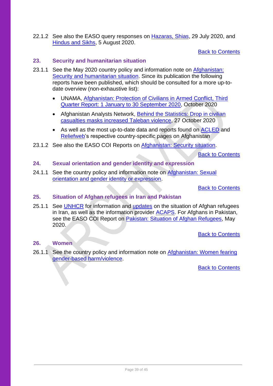22.1.2 See also the EASO query responses on [Hazaras, Shias,](https://www.ecoi.net/en/file/local/2036879/2020_08_Q13_EASO_COI_Query_Response_2020_AFG_Hazara_Shia.pdf) 29 July 2020, and [Hindus and Sikhs,](https://www.ecoi.net/en/file/local/2036878/2020_08_Q14_EASO_COI_Query_Response_AFG_Hindus_Sikhs.pdf) 5 August 2020.

[Back to Contents](#page-3-0)

### <span id="page-38-0"></span>**23. Security and humanitarian situation**

- 23.1.1 See the May 2020 country policy and information note on Afghanistan: [Security and humanitarian situation.](https://www.gov.uk/government/publications/afghanistan-country-policy-and-information-notes) Since its publication the following reports have been published, which should be consulted for a more up-todate overview (non-exhaustive list):
	- UNAMA, [Afghanistan: Protection of Civilians in Armed Conflict, Third](https://www.ecoi.net/en/file/local/2039870/unama_protection_of_civilians_in_armed_conflict_-_3rd_quarter_report_2020.pdf)  [Quarter Report: 1 January to 30 September 2020,](https://www.ecoi.net/en/file/local/2039870/unama_protection_of_civilians_in_armed_conflict_-_3rd_quarter_report_2020.pdf) October 2020
	- Afghanistan Analysts Network, Behind the Statistics: Drop in civilian [casualties masks increased Taleban violence,](https://www.afghanistan-analysts.org/en/reports/war-and-peace/behind-the-statistics-drop-in-civilian-casualties-masks-increased-taleban-violence/) 27 October 2020
	- As well as the most up-to-date data and reports found on [ACLED](https://acleddata.com/tag/afghanistan/) and [Reliefweb'](https://reliefweb.int/country/afg)s respective country-specific pages on Afghanistan
- 23.1.2 See also the EASO COI Reports on [Afghanistan: Security situation.](https://easo.europa.eu/information-analysis/country-origin-information/country-reports)

[Back to Contents](#page-3-0)

#### <span id="page-38-1"></span>**24. Sexual orientation and gender identity and expression**

24.1.1 See the country policy and information note on [Afghanistan: Sexual](https://www.gov.uk/government/publications/afghanistan-country-policy-and-information-notes)  [orientation and gender identity or expression.](https://www.gov.uk/government/publications/afghanistan-country-policy-and-information-notes)

[Back to Contents](#page-3-0)

#### <span id="page-38-2"></span>**25. Situation of Afghan refugees in Iran and Pakistan**

25.1.1 See [UNHCR](https://www.unhcr.org/ir/refugees-in-iran/) for information and [updates](https://reporting.unhcr.org/node/2527#:~:text=The%20Islamic%20Republic%20of%20Iran%20hosts%20one%20of%20the%20largest,settlements%20managed%20by%20the%20Government.) on the situation of Afghan refugees in Iran, as well as the information provider [ACAPS.](https://www.acaps.org/country/iran/crisis/afghan-refugees) For Afghans in Pakistan, see the EASO COI Report on [Pakistan: Situation of Afghan Refugees,](https://easo.europa.eu/sites/default/files/publications/easo-coi-report-pakistan-situation-afghan-refugees.pdf) Mav 2020.

[Back to Contents](#page-3-0)

### <span id="page-38-3"></span>**26. Women**

26.1.1 See the country policy and information note on [Afghanistan: Women fearing](https://www.gov.uk/government/publications/afghanistan-country-policy-and-information-notes)  [gender-based harm/violence.](https://www.gov.uk/government/publications/afghanistan-country-policy-and-information-notes)

[Back to Contents](#page-3-0)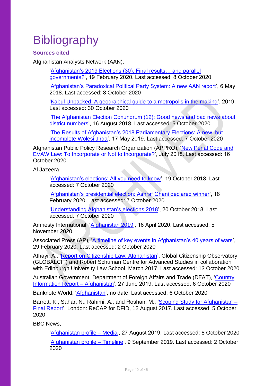# <span id="page-39-0"></span>**Bibliography**

<span id="page-39-1"></span>**Sources cited** 

Afghanistan Analysts Network (AAN),

['Afghanistan's 2019 Elections \(30\): Final results… and parallel](https://www.afghanistan-analysts.org/en/reports/political-landscape/afghanistans-2019-elections-30-final-results-and-parallel-governments/) [governments?'](https://www.afghanistan-analysts.org/en/reports/political-landscape/afghanistans-2019-elections-30-final-results-and-parallel-governments/), 19 February 2020. Last accessed: 8 October 2020

['Afghanistan's Paradoxical Political Party System: A new AAN report'](https://www.afghanistan-analysts.org/en/special-reports/outside-inside-afghanistans-paradoxical-political-party-system-2001-16/), 6 May 2018. Last accessed: 8 October 2020

['Kabul Unpacked: A geographical guide to a metropolis in the making'](https://www.afghanistan-analysts.org/wp-content/uploads/2019/03/Kabul-Police-Districts.pdf), 2019. Last accessed: 30 October 2020

['The Afghanistan Election Conundrum \(12\): Good news and bad news about](https://www.afghanistan-analysts.org/en/reports/political-landscape/the-afghanistan-election-conundrum-12-good-news-and-bad-news-about-district-numbers/)  [district numbers'](https://www.afghanistan-analysts.org/en/reports/political-landscape/the-afghanistan-election-conundrum-12-good-news-and-bad-news-about-district-numbers/), 16 August 2018. Last accessed: 5 October 2020

['The Results of Afghanistan's 2018 Parliamentary Elections: A new, but](https://www.afghanistan-analysts.org/en/reports/political-landscape/the-results-of-afghanistans-2018-parliamentary-elections-a-new-but-incomplete-wolesi-jirga/)  [incomplete Wolesi Jirga'](https://www.afghanistan-analysts.org/en/reports/political-landscape/the-results-of-afghanistans-2018-parliamentary-elections-a-new-but-incomplete-wolesi-jirga/), 17 May 2019. Last accessed: 7 October 2020

Afghanistan Public Policy Research Organization (APPRO), 'New [Penal Code and](http://appro.org.af/wp-content/uploads/2018/07/2018-08-01-EVAW-Law-and-the-new-Penal-Code-1.pdf)  EVAW [Law: To Incorporate or Not to Incorporate?'](http://appro.org.af/wp-content/uploads/2018/07/2018-08-01-EVAW-Law-and-the-new-Penal-Code-1.pdf), July 2018. Last accessed: 16 October 2020

Al Jazeera,

['Afghanistan's elections: All you need to know'](https://www.aljazeera.com/news/2018/10/19/afghanistans-elections-all-you-need-to-know/), 19 October 2018. Last accessed: 7 October 2020

['Afghanistan's presidential election: Ashraf Ghani declared winner'](https://www.aljazeera.com/news/2020/2/18/afghanistans-presidential-election-ashraf-ghani-declared-winner), 18 February 2020. Last accessed: 7 October 2020

['Understanding Afghanistan's elections 2018'](https://www.aljazeera.com/news/2018/10/20/understanding-afghanistans-elections-2018), 20 October 2018. Last accessed: 7 October 2020

Amnesty International, ['Afghanistan 2019'](https://www.amnesty.org/en/countries/asia-and-the-pacific/afghanistan/report-afghanistan/), 16 April 2020. Last accessed: 5 November 2020

Associated Press (AP), ['A timeline of key events in Afghanistan's 40 years of wars'](https://apnews.com/article/7011b5086a21f7f57c3cb218947742b2), 29 February 2020. Last accessed: 2 October 2020

Athayi, A., ['Report on Citizenship Law: Afghanistan'](https://cadmus.eui.eu/bitstream/handle/1814/45933/GLOBALCIT_CR_2017_09.pdf), Global Citizenship Observatory (GLOBALCIT) and Robert Schuman Centre for Advanced Studies in collaboration with Edinburgh University Law School, March 2017. Last accessed: 13 October 2020

Australian Government, Department of Foreign Affairs and Trade (DFAT), ['Country](https://www.dfat.gov.au/sites/default/files/country-information-report-afghanistan.pdf)  [Information Report –](https://www.dfat.gov.au/sites/default/files/country-information-report-afghanistan.pdf) Afghanistan', 27 June 2019. Last accessed: 6 October 2020

Banknote World, ['Afghanistan'](https://www.banknoteworld.com/banknotes/Banknotes-by-Country/Afghanistan-Currency/), no date. Last accessed: 6 October 2020

Barrett, K., Sahar, N., Rahimi, A., and Roshan, M., ['Scoping Study for Afghanistan –](https://assets.publishing.service.gov.uk/media/5ac4816ee5274a0b107ead2f/Barrettetal-NadyaMundo-2017-ScopingStudyAfghanistan-FinalReport-AsCAP-AFG2121A-170812.pdf) [Final Report'](https://assets.publishing.service.gov.uk/media/5ac4816ee5274a0b107ead2f/Barrettetal-NadyaMundo-2017-ScopingStudyAfghanistan-FinalReport-AsCAP-AFG2121A-170812.pdf), London: ReCAP for DFID, 12 August 2017. Last accessed: 5 October 2020

BBC News,

['Afghanistan profile –](https://www.bbc.co.uk/news/world-south-asia-12013942) Media', 27 August 2019. Last accessed: 8 October 2020 ['Afghanistan profile –](https://www.bbc.co.uk/news/world-south-asia-12024253) Timeline', 9 September 2019. Last accessed: 2 October 2020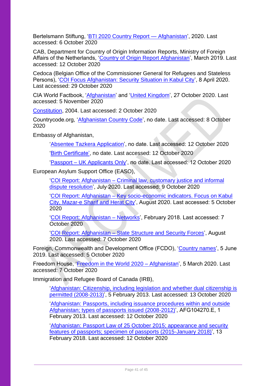Bertelsmann Stiftung, ['BTI 2020 Country Report —](https://www.bti-project.org/content/en/downloads/reports/country_report_2020_AFG.pdf) Afghanistan', 2020. Last accessed: 6 October 2020

CAB, Department for Country of Origin Information Reports, Ministry of Foreign Affairs of the Netherlands, ['Country of Origin Report Afghanistan'](https://www.rijksoverheid.nl/documenten/ambtsberichten/2019/03/01/algemeen-ambtsbericht-afghanistan), March 2019. Last accessed: 12 October 2020

Cedoca (Belgian Office of the Commissioner General for Refugees and Stateless Persons), ['COI Focus Afghanistan: Security Situation in Kabul City'](https://www.ecoi.net/en/file/local/2028536/coi_focus_afghanistan_security_situation_in_kabul_city_20200408.pdf), 8 April 2020. Last accessed: 29 October 2020

CIA World Factbook, ['Afghanistan'](https://www.cia.gov/library/publications/the-world-factbook/geos/af.html) and ['United Kingdom'](https://www.cia.gov/library/publications/the-world-factbook/geos/uk.html), 27 October 2020. Last accessed: 5 November 2020

[Constitution,](https://www.constituteproject.org/constitution/Afghanistan_2004.pdf?lang=en) 2004. Last accessed: 2 October 2020

Countrycode.org, ['Afghanistan Country Code'](https://countrycode.org/afghanistan), no date. Last accessed: 8 October 2020

Embassy of Afghanistan,

['Absentee Tazkera Application'](http://afghanistanembassy.org.uk/english/consulate/afghan-national-id-tazkera/), no date. Last accessed: 12 October 2020

['Birth Certificate',](http://afghanistanembassy.org.uk/english/consulate/birth-certificate/) no date. Last accessed: 12 October 2020

'Passport – [UK Applicants Only'](http://afghanistanembassy.org.uk/english/consulate/passport-section/apply-for-passport/), no date. Last accessed: 12 October 2020

European Asylum Support Office (EASO),

'COI Report: Afghanistan – [Criminal law, customary justice and informal](https://coi.easo.europa.eu/administration/easo/PLib/2020_07_EASO_COI_Report_Afghanistan_Criminal_Law_Customary_Justice_Dispute_Resolutions.pdf)  [dispute resolution'](https://coi.easo.europa.eu/administration/easo/PLib/2020_07_EASO_COI_Report_Afghanistan_Criminal_Law_Customary_Justice_Dispute_Resolutions.pdf), July 2020. Last accessed: 9 October 2020

'COI Report: Afghanistan – [Key socio-economic indicators. Focus on Kabul](https://coi.easo.europa.eu/administration/easo/PLib/2020_08_EASO_COI_Report_Afghanistan_Key_Socio_Economic_Indicators_Forcus_Kabul_Citry_Mazar_Sharif_Herat_City.pdf)  [City, Mazar-e Sharif and Herat City'](https://coi.easo.europa.eu/administration/easo/PLib/2020_08_EASO_COI_Report_Afghanistan_Key_Socio_Economic_Indicators_Forcus_Kabul_Citry_Mazar_Sharif_Herat_City.pdf), August 2020. Last accessed: 5 October 2020

['COI Report: Afghanistan –](https://coi.easo.europa.eu/administration/easo/PLib/Afghanistan_Networks.pdf) Networks', February 2018. Last accessed: 7 October 2020

'COI Report: Afghanistan – [State Structure and Security Forces'](https://coi.easo.europa.eu/administration/easo/PLib/2020_08_EASO_COI_Report_Afghanistan_state_structure_and_security_forces.pdf), August 2020. Last accessed: 7 October 2020

Foreign, Commonwealth and Development Office (FCDO), ['Country names'](https://assets.publishing.service.gov.uk/government/uploads/system/uploads/attachment_data/file/913694/FCDO_Geographical_Names_Index.csv/preview), 5 June 2019. Last accessed: 5 October 2020

Freedom House, ['Freedom in the World 2020 –](https://freedomhouse.org/country/afghanistan/freedom-world/2020) Afghanistan', 5 March 2020. Last accessed: 7 October 2020

Immigration and Refugee Board of Canada (IRB),

['Afghanistan: Citizenship, including legislation and whether dual citizenship is](https://www.refworld.org/docid/51345c1a2.html)  [permitted \(2008-2013\)'](https://www.refworld.org/docid/51345c1a2.html), 5 February 2013. Last accessed: 13 October 2020

['Afghanistan: Passports, including issuance procedures within and outside](http://irb-cisr.gc.ca/Eng/ResRec/RirRdi/Pages/index.aspx?doc=454379)  [Afghanistan; types of passports issued \(2008-2012\)'](http://irb-cisr.gc.ca/Eng/ResRec/RirRdi/Pages/index.aspx?doc=454379), AFG104270.E, 1 February 2013. Last accessed: 12 October 2020

['Afghanistan: Passport Law of 25 October 2015; appearance and security](http://irb-cisr.gc.ca/Eng/ResRec/RirRdi/Pages/index.aspx?doc=457384)  [features of passports; specimen of passports \(2015-January 2018\)'](http://irb-cisr.gc.ca/Eng/ResRec/RirRdi/Pages/index.aspx?doc=457384), 13 February 2018. Last accessed: 12 October 2020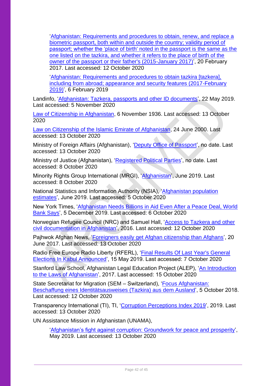['Afghanistan: Requirements and procedures to obtain, renew, and replace a](http://irb-cisr.gc.ca/Eng/ResRec/RirRdi/Pages/index.aspx?doc=456927)  [biometric passport, both within and outside the country; validity period of](http://irb-cisr.gc.ca/Eng/ResRec/RirRdi/Pages/index.aspx?doc=456927)  [passport; whether the 'place of birth' noted in the passport is the same as the](http://irb-cisr.gc.ca/Eng/ResRec/RirRdi/Pages/index.aspx?doc=456927)  [one listed on the tazkira, and whether it refers to the place of birth of the](http://irb-cisr.gc.ca/Eng/ResRec/RirRdi/Pages/index.aspx?doc=456927)  [owner of the passport or their father's \(2015-January 2017\)'](http://irb-cisr.gc.ca/Eng/ResRec/RirRdi/Pages/index.aspx?doc=456927), 20 February 2017. Last accessed: 12 October 2020

['Afghanistan: Requirements and procedures to obtain tazkira \[tazkera\],](https://irb-cisr.gc.ca/en/country-information/rir/Pages/index.aspx?doc=457722)  [including from abroad; appearance and security features \(2017-February](https://irb-cisr.gc.ca/en/country-information/rir/Pages/index.aspx?doc=457722)  [2019\)'](https://irb-cisr.gc.ca/en/country-information/rir/Pages/index.aspx?doc=457722), 6 February 2019

Landinfo, ['Afghanistan: Tazkera, passports and other ID documents'](https://landinfo.no/wp-content/uploads/2019/08/Afghanistan-Tazkera-passports-and-other-ID-documents-22052019-final.pdf), 22 May 2019. Last accessed: 5 November 2020

[Law of Citizenship in Afghanistan,](https://www.refworld.org/docid/42d63de34.html) 6 November 1936. Last accessed: 13 October 2020

[Law on Citizenship of the Islamic Emirate of Afghanistan,](https://www.refworld.org/docid/404c988d4.html) 24 June 2000. Last accessed: 13 October 2020

Ministry of Foreign Affairs (Afghanistan), ['Deputy Office of Passport'](https://www.econsulate.gov.af/en/passport.html), no date. Last accessed: 13 October 2020

Ministry of Justice (Afghanistan), ['Registered Political Parties'](https://moj.gov.af/en/registered-political-parties), no date. Last accessed: 8 October 2020

Minority Rights Group International (MRGI), ['Afghanistan'](https://minorityrights.org/country/afghanistan/), June 2019. Last accessed: 8 October 2020

National Statistics and Information Authority (NSIA), ['Afghanistan population](https://web.archive.org/web/20200609174551/https:/www.nsia.gov.af:8080/wp-content/uploads/2019/06/%D8%A8%D8%B1-%D8%A2%D9%88%D8%B1%D8%AF-%D9%86%D9%81%D9%88%D8%B3-%D9%86%D9%87%D8%A7%DB%8C%DB%8C-%D8%B3%D8%A7%D9%84-98.pdf)  [estimates'](https://web.archive.org/web/20200609174551/https:/www.nsia.gov.af:8080/wp-content/uploads/2019/06/%D8%A8%D8%B1-%D8%A2%D9%88%D8%B1%D8%AF-%D9%86%D9%81%D9%88%D8%B3-%D9%86%D9%87%D8%A7%DB%8C%DB%8C-%D8%B3%D8%A7%D9%84-98.pdf), June 2019. Last accessed: 5 October 2020

New York Times, ['Afghanistan Needs Billions in Aid Even After a Peace Deal, World](https://www.nytimes.com/2019/12/05/world/asia/afghanistan-aid-world-bank.html)  [Bank Says'](https://www.nytimes.com/2019/12/05/world/asia/afghanistan-aid-world-bank.html), 5 December 2019. Last accessed: 6 October 2020

Norwegian Refugee Council (NRC) and Samuel Hall, ['Access to Tazkera and other](https://www.nrc.no/globalassets/pdf/reports/af_civil-documentation-study_081116.pdf)  [civil documentation in Afghanistan'](https://www.nrc.no/globalassets/pdf/reports/af_civil-documentation-study_081116.pdf), 2016. Last accessed: 12 October 2020

Pajhwok Afghan News, ['Foreigners easily get Afghan citizenship than Afghans'](https://www.pajhwok.com/en/2017/06/20/foreigners-easily-get-afghan-citizenship-afghans), 20 June 2017. Last accessed: 13 October 2020

Radio Free Europe Radio Liberty (RFERL), ['Final Results Of Last Year's General](https://www.rferl.org/a/final-results-of-2018-general-elections-in-kabul-announced/29941520.html)  [Elections In Kabul Announced'](https://www.rferl.org/a/final-results-of-2018-general-elections-in-kabul-announced/29941520.html), 15 May 2019. Last accessed: 7 October 2020

Stanford Law School, Afghanistan Legal Education Project (ALEP), ['An Introduction](https://www-cdn.law.stanford.edu/wp-content/uploads/2017/11/ALEP-Intoduction-to-Law-of-AFG_4th-Ed_ENGLISH.pdf)  [to the Laws of Afghanistan'](https://www-cdn.law.stanford.edu/wp-content/uploads/2017/11/ALEP-Intoduction-to-Law-of-AFG_4th-Ed_ENGLISH.pdf), 2017. Last accessed: 15 October 2020

State Secretariat for Migration (SEM – Switzerland), ['Focus Afghanistan:](https://www.sem.admin.ch/dam/sem/de/data/internationales/herkunftslaender/asien-nahost/afg/AFG-tazkira-d.pdf.download.pdf/AFG-tazkira-d.pdf)  [Beschaffung eines Identitätsausweises \(Tazkira\) aus dem Ausland'](https://www.sem.admin.ch/dam/sem/de/data/internationales/herkunftslaender/asien-nahost/afg/AFG-tazkira-d.pdf.download.pdf/AFG-tazkira-d.pdf), 5 October 2018. Last accessed: 12 October 2020

Transparency International (TI), TI, ['Corruption Perceptions Index 2019'](https://www.transparency.org/en/cpi/2019), 2019. Last accessed: 13 October 2020

UN Assistance Mission in Afghanistan (UNAMA),

['Afghanistan's fight against corruption: Groundwork for peace and prosperity'](https://unama.unmissions.org/sites/default/files/afghanistan_fight_against_corruption_groundwork_for_peace_and_prosperity-20_may_2019-english.pdf), May 2019. Last accessed: 13 October 2020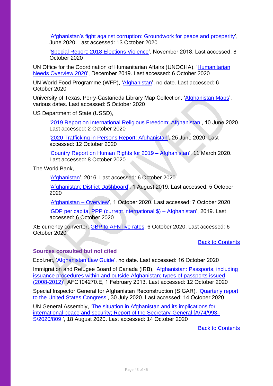['Afghanistan's fight against corruption: Groundwork for peace and prosperity'](https://unama.unmissions.org/sites/default/files/afghanistans_fight_against_corruption_crucial_for_peace_and_prosperity_june_2020-english.pdf), June 2020. Last accessed: 13 October 2020

['Special Report: 2018 Elections Violence'](https://unama.unmissions.org/sites/default/files/special_report_on_2018_elections_violence_november_2018.pdf), November 2018. Last accessed: 8 October 2020

UN Office for the Coordination of Humanitarian Affairs (UNOCHA), ['Humanitarian](https://reliefweb.int/report/afghanistan/afghanistan-humanitarian-needs-overview-2020-december-2019#:~:text=As%20a%20result%20of%20the,of%20humanitarian%20assistance%20in%202020.)  [Needs Overview 2020'](https://reliefweb.int/report/afghanistan/afghanistan-humanitarian-needs-overview-2020-december-2019#:~:text=As%20a%20result%20of%20the,of%20humanitarian%20assistance%20in%202020.), December 2019. Last accessed: 6 October 2020

UN World Food Programme (WFP), ['Afghanistan'](https://www.wfp.org/countries/afghanistan), no date. Last accessed: 6 October 2020

University of Texas, Perry-Castañeda Library Map Collection, ['Afghanistan Maps'](http://legacy.lib.utexas.edu/maps/afghanistan.html), various dates. Last accessed: 5 October 2020

US Department of State (USSD),

['2019 Report on International Religious Freedom: Afghanistan'](https://www.state.gov/reports/2019-report-on-international-religious-freedom/afghanistan/), 10 June 2020. Last accessed: 2 October 2020

['2020 Trafficking in Persons Report: Afghanistan'](https://www.state.gov/reports/2020-trafficking-in-persons-report/afghanistan/), 25 June 2020. Last accessed: 12 October 2020

['Country Report on Human Rights for 2019 –](https://www.state.gov/reports/2019-country-reports-on-human-rights-practices/afghanistan/) Afghanistan', 11 March 2020. Last accessed: 8 October 2020

The World Bank,

['Afghanistan'](https://data.worldbank.org/country/AF), 2016. Last accessed: 6 October 2020

['Afghanistan: District Dashboard'](https://www.worldbank.org/en/data/interactive/2019/08/01/afghanistan-district-level-visualization), 1 August 2019. Last accessed: 5 October 2020

['Afghanistan –](https://www.worldbank.org/en/country/afghanistan/overview) Overview', 1 October 2020. Last accessed: 7 October 2020

['GDP per capita, PPP \(current international \\$\) –](https://data.worldbank.org/indicator/NY.GDP.PCAP.PP.CD?locations=AF) Afghanistan', 2019. Last accessed: 6 October 2020

XE currency converter, [GBP to AFN live rates,](https://www.xe.com/currencyconverter/convert/?Amount=1&From=GBP&To=AFN) 6 October 2020. Last accessed: 6 October 2020

[Back to Contents](#page-3-0)

## <span id="page-42-0"></span>**Sources consulted but not cited**

Ecoi.net, ['Afghanistan Law Guide'](https://www.ecoi.net/en/countries/afghanistan/law-guide/), no date. Last accessed: 16 October 2020

Immigration and Refugee Board of Canada (IRB), ['Afghanistan: Passports, including](http://irb-cisr.gc.ca/Eng/ResRec/RirRdi/Pages/index.aspx?doc=454379)  [issuance procedures within and outside Afghanistan; types of passports issued](http://irb-cisr.gc.ca/Eng/ResRec/RirRdi/Pages/index.aspx?doc=454379)  [\(2008-2012\)'](http://irb-cisr.gc.ca/Eng/ResRec/RirRdi/Pages/index.aspx?doc=454379), AFG104270.E, 1 February 2013. Last accessed: 12 October 2020

Special Inspector General for Afghanistan Reconstruction (SIGAR), ['Quarterly report](https://www.sigar.mil/pdf/quarterlyreports/2020-07-30qr.pdf)  [to the United States Congress'](https://www.sigar.mil/pdf/quarterlyreports/2020-07-30qr.pdf), 30 July 2020. Last accessed: 14 October 2020

UN General Assembly, ['The situation in Afghanistan and its implications for](https://www.ecoi.net/en/file/local/2036902/S_2020_809_E.pdf)  [international peace and security; Report of the Secretary-General \[A/74/993–](https://www.ecoi.net/en/file/local/2036902/S_2020_809_E.pdf) [S/2020/809\]'](https://www.ecoi.net/en/file/local/2036902/S_2020_809_E.pdf), 18 August 2020. Last accessed: 14 October 2020

[Back to Contents](#page-3-0)